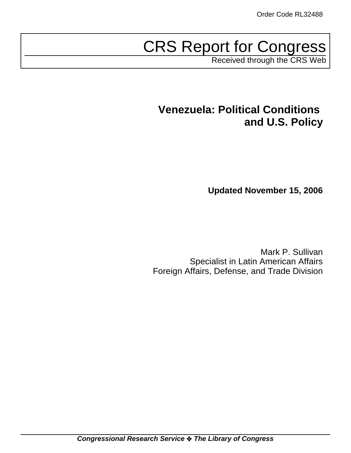# CRS Report for Congress

Received through the CRS Web

# **Venezuela: Political Conditions and U.S. Policy**

**Updated November 15, 2006**

Mark P. Sullivan Specialist in Latin American Affairs Foreign Affairs, Defense, and Trade Division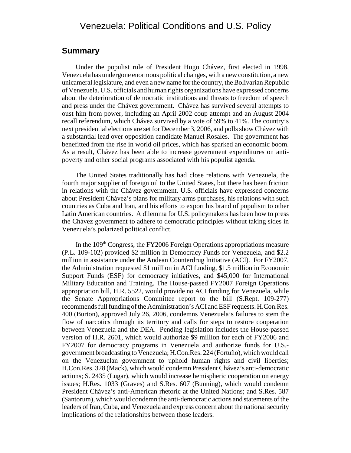# Venezuela: Political Conditions and U.S. Policy

# **Summary**

Under the populist rule of President Hugo Chávez, first elected in 1998, Venezuela has undergone enormous political changes, with a new constitution, a new unicameral legislature, and even a new name for the country, the Bolivarian Republic of Venezuela. U.S. officials and human rights organizations have expressed concerns about the deterioration of democratic institutions and threats to freedom of speech and press under the Chávez government. Chávez has survived several attempts to oust him from power, including an April 2002 coup attempt and an August 2004 recall referendum, which Chávez survived by a vote of 59% to 41%. The country's next presidential elections are set for December 3, 2006, and polls show Chávez with a substantial lead over opposition candidate Manuel Rosales. The government has benefitted from the rise in world oil prices, which has sparked an economic boom. As a result, Chávez has been able to increase government expenditures on antipoverty and other social programs associated with his populist agenda.

The United States traditionally has had close relations with Venezuela, the fourth major supplier of foreign oil to the United States, but there has been friction in relations with the Chávez government. U.S. officials have expressed concerns about President Chávez's plans for military arms purchases, his relations with such countries as Cuba and Iran, and his efforts to export his brand of populism to other Latin American countries. A dilemma for U.S. policymakers has been how to press the Chávez government to adhere to democratic principles without taking sides in Venezuela's polarized political conflict.

In the 109<sup>th</sup> Congress, the FY2006 Foreign Operations appropriations measure (P.L. 109-102) provided \$2 million in Democracy Funds for Venezuela, and \$2.2 million in assistance under the Andean Counterdrug Initiative (ACI). For FY2007, the Administration requested \$1 million in ACI funding, \$1.5 million in Economic Support Funds (ESF) for democracy initiatives, and \$45,000 for International Military Education and Training. The House-passed FY2007 Foreign Operations appropriation bill, H.R. 5522, would provide no ACI funding for Venezuela, while the Senate Appropriations Committee report to the bill (S.Rept. 109-277) recommends full funding of the Administration's ACI and ESF requests. H.Con.Res. 400 (Burton), approved July 26, 2006, condemns Venezuela's failures to stem the flow of narcotics through its territory and calls for steps to restore cooperation between Venezuela and the DEA. Pending legislation includes the House-passed version of H.R. 2601, which would authorize \$9 million for each of FY2006 and FY2007 for democracy programs in Venezuela and authorize funds for U.S. government broadcasting to Venezuela; H.Con.Res. 224 (Fortuño), which would call on the Venezuelan government to uphold human rights and civil liberties; H.Con.Res. 328 (Mack), which would condemn President Chávez's anti-democratic actions; S. 2435 (Lugar), which would increase hemispheric cooperation on energy issues; H.Res. 1033 (Graves) and S.Res. 607 (Bunning), which would condemn President Chávez's anti-American rhetoric at the United Nations; and S.Res. 587 (Santorum), which would condemn the anti-democratic actions and statements of the leaders of Iran, Cuba, and Venezuela and express concern about the national security implications of the relationships between those leaders.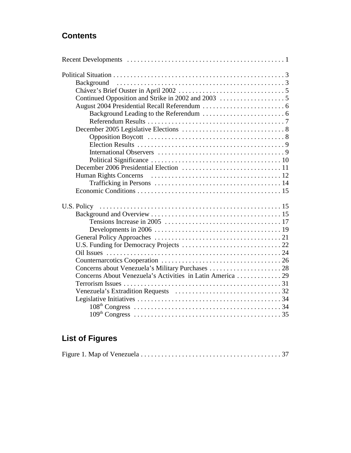# **Contents**

# **List of Figures**

|--|--|--|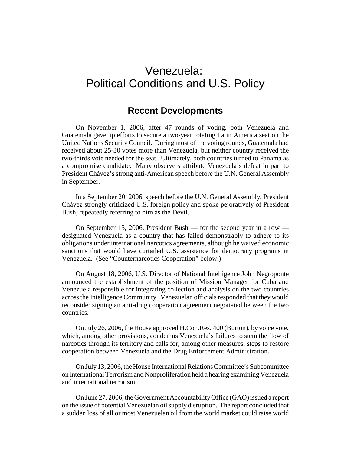# Venezuela: Political Conditions and U.S. Policy

# **Recent Developments**

On November 1, 2006, after 47 rounds of voting, both Venezuela and Guatemala gave up efforts to secure a two-year rotating Latin America seat on the United Nations Security Council. During most of the voting rounds, Guatemala had received about 25-30 votes more than Venezuela, but neither country received the two-thirds vote needed for the seat. Ultimately, both countries turned to Panama as a compromise candidate. Many observers attribute Venezuela's defeat in part to President Chávez's strong anti-American speech before the U.N. General Assembly in September.

In a September 20, 2006, speech before the U.N. General Assembly, President Chávez strongly criticized U.S. foreign policy and spoke pejoratively of President Bush, repeatedly referring to him as the Devil.

On September 15, 2006, President Bush — for the second year in a row designated Venezuela as a country that has failed demonstrably to adhere to its obligations under international narcotics agreements, although he waived economic sanctions that would have curtailed U.S. assistance for democracy programs in Venezuela. (See "Counternarcotics Cooperation" below.)

On August 18, 2006, U.S. Director of National Intelligence John Negroponte announced the establishment of the position of Mission Manager for Cuba and Venezuela responsible for integrating collection and analysis on the two countries across the Intelligence Community. Venezuelan officials responded that they would reconsider signing an anti-drug cooperation agreement negotiated between the two countries.

On July 26, 2006, the House approved H.Con.Res. 400 (Burton), by voice vote, which, among other provisions, condemns Venezuela's failures to stem the flow of narcotics through its territory and calls for, among other measures, steps to restore cooperation between Venezuela and the Drug Enforcement Administration.

On July 13, 2006, the House International Relations Committee's Subcommittee on International Terrorism and Nonproliferation held a hearing examining Venezuela and international terrorism.

On June 27, 2006, the Government Accountability Office (GAO) issued a report on the issue of potential Venezuelan oil supply disruption. The report concluded that a sudden loss of all or most Venezuelan oil from the world market could raise world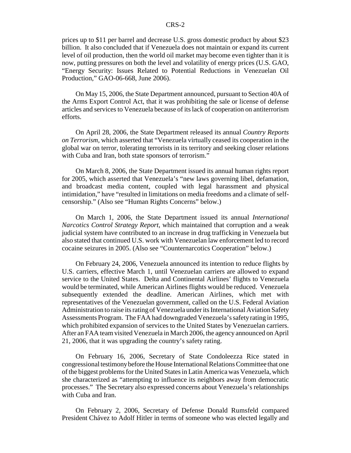prices up to \$11 per barrel and decrease U.S. gross domestic product by about \$23 billion. It also concluded that if Venezuela does not maintain or expand its current level of oil production, then the world oil market may become even tighter than it is now, putting pressures on both the level and volatility of energy prices (U.S. GAO, "Energy Security: Issues Related to Potential Reductions in Venezuelan Oil Production," GAO-06-668, June 2006).

On May 15, 2006, the State Department announced, pursuant to Section 40A of the Arms Export Control Act, that it was prohibiting the sale or license of defense articles and services to Venezuela because of its lack of cooperation on antiterrorism efforts.

On April 28, 2006, the State Department released its annual *Country Reports on Terrorism*, which asserted that "Venezuela virtually ceased its cooperation in the global war on terror, tolerating terrorists in its territory and seeking closer relations with Cuba and Iran, both state sponsors of terrorism."

On March 8, 2006, the State Department issued its annual human rights report for 2005, which asserted that Venezuela's "new laws governing libel, defamation, and broadcast media content, coupled with legal harassment and physical intimidation," have "resulted in limitations on media freedoms and a climate of selfcensorship." (Also see "Human Rights Concerns" below.)

On March 1, 2006, the State Department issued its annual *International Narcotics Control Strategy Report*, which maintained that corruption and a weak judicial system have contributed to an increase in drug trafficking in Venezuela but also stated that continued U.S. work with Venezuelan law enforcement led to record cocaine seizures in 2005. (Also see "Counternarcotics Cooperation" below.)

On February 24, 2006, Venezuela announced its intention to reduce flights by U.S. carriers, effective March 1, until Venezuelan carriers are allowed to expand service to the United States. Delta and Continental Airlines' flights to Venezuela would be terminated, while American Airlines flights would be reduced. Venezuela subsequently extended the deadline. American Airlines, which met with representatives of the Venezuelan government, called on the U.S. Federal Aviation Administration to raise its rating of Venezuela under its International Aviation Safety Assessments Program. The FAA had downgraded Venezuela's safety rating in 1995, which prohibited expansion of services to the United States by Venezuelan carriers. After an FAA team visited Venezuela in March 2006, the agency announced on April 21, 2006, that it was upgrading the country's safety rating.

On February 16, 2006, Secretary of State Condoleezza Rice stated in congressional testimony before the House International Relations Committee that one of the biggest problems for the United States in Latin America was Venezuela, which she characterized as "attempting to influence its neighbors away from democratic processes." The Secretary also expressed concerns about Venezuela's relationships with Cuba and Iran.

On February 2, 2006, Secretary of Defense Donald Rumsfeld compared President Chávez to Adolf Hitler in terms of someone who was elected legally and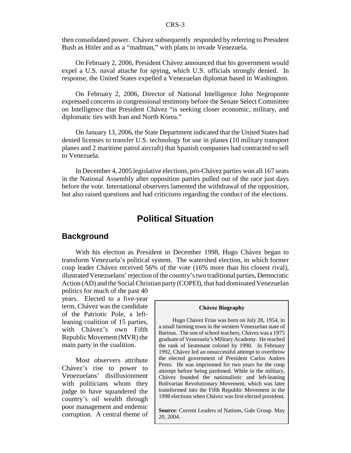then consolidated power. Chávez subsequently responded by referring to President Bush as Hitler and as a "madman," with plans to invade Venezuela.

On February 2, 2006, President Chávez announced that his government would expel a U.S. naval attache for spying, which U.S. officials strongly denied. In response, the United States expelled a Venezuelan diplomat based in Washington.

On February 2, 2006, Director of National Intelligence John Negroponte expressed concerns in congressional testimony before the Senate Select Committee on Intelligence that President Chávez "is seeking closer economic, military, and diplomatic ties with Iran and North Korea."

On January 13, 2006, the State Department indicated that the United States had denied licenses to transfer U.S. technology for use in planes (10 military transport planes and 2 maritime patrol aircraft) that Spanish companies had contracted to sell to Venezuela.

In December 4, 2005 legislative elections, pro-Chávez parties won all 167 seats in the National Assembly after opposition parties pulled out of the race just days before the vote. International observers lamented the withdrawal of the opposition, but also raised questions and had criticisms regarding the conduct of the elections.

# **Political Situation**

### **Background**

With his election as President in December 1998, Hugo Chávez began to transform Venezuela's political system. The watershed election, in which former coup leader Chávez received 56% of the vote (16% more than his closest rival), illustrated Venezuelans' rejection of the country's two traditional parties, Democratic Action (AD) and the Social Christian party (COPEI), that had dominated Venezuelan

politics for much of the past 40 years. Elected to a five-year term, Chávez was the candidate of the Patriotic Pole, a leftleaning coalition of 15 parties, with Chávez's own Fifth Republic Movement (MVR) the main party in the coalition.

Most observers attribute Chávez's rise to power to Venezuelans' disillusionment with politicians whom they judge to have squandered the country's oil wealth through poor management and endemic corruption. A central theme of

#### **Chávez Biography**

Hugo Chávez Frias was born on July 28, 1954, in a small farming town in the western Venezuelan state of Barinas. The son of school teachers, Chávez was a 1975 graduate of Venezuela's Military Academy. He reached the rank of lieutenant colonel by 1990. In February 1992, Chávez led an unsuccessful attempt to overthrow the elected government of President Carlos Andres Perez. He was imprisoned for two years for the coup attempt before being pardoned. While in the military, Chávez founded the nationalistic and left-leaning Bolivarian Revolutionary Movement, which was later transformed into the Fifth Republic Movement in the 1998 elections when Chávez was first elected president.

**Source**: Current Leaders of Nations, Gale Group. May 20, 2004.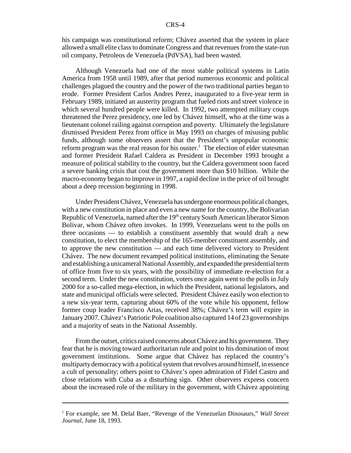his campaign was constitutional reform; Chávez asserted that the system in place allowed a small elite class to dominate Congress and that revenues from the state-run oil company, Petroleos de Venezuela (PdVSA), had been wasted.

Although Venezuela had one of the most stable political systems in Latin America from 1958 until 1989, after that period numerous economic and political challenges plagued the country and the power of the two traditional parties began to erode. Former President Carlos Andres Perez, inaugurated to a five-year term in February 1989, initiated an austerity program that fueled riots and street violence in which several hundred people were killed. In 1992, two attempted military coups threatened the Perez presidency, one led by Chávez himself, who at the time was a lieutenant colonel railing against corruption and poverty. Ultimately the legislature dismissed President Perez from office in May 1993 on charges of misusing public funds, although some observers assert that the President's unpopular economic reform program was the real reason for his ouster.<sup>1</sup> The election of elder statesman and former President Rafael Caldera as President in December 1993 brought a measure of political stability to the country, but the Caldera government soon faced a severe banking crisis that cost the government more than \$10 billion. While the macro-economy began to improve in 1997, a rapid decline in the price of oil brought about a deep recession beginning in 1998.

Under President Chávez, Venezuela has undergone enormous political changes, with a new constitution in place and even a new name for the country, the Bolivarian Republic of Venezuela, named after the 19<sup>th</sup> century South American liberator Simon Bolivar, whom Chávez often invokes. In 1999, Venezuelans went to the polls on three occasions — to establish a constituent assembly that would draft a new constitution, to elect the membership of the 165-member constituent assembly, and to approve the new constitution — and each time delivered victory to President Chávez. The new document revamped political institutions, eliminating the Senate and establishing a unicameral National Assembly, and expanded the presidential term of office from five to six years, with the possibility of immediate re-election for a second term. Under the new constitution, voters once again went to the polls in July 2000 for a so-called mega-election, in which the President, national legislators, and state and municipal officials were selected. President Chávez easily won election to a new six-year term, capturing about 60% of the vote while his opponent, fellow former coup leader Francisco Arias, received 38%; Chávez's term will expire in January 2007. Chávez's Patriotic Pole coalition also captured 14 of 23 governorships and a majority of seats in the National Assembly.

From the outset, critics raised concerns about Chávez and his government. They fear that he is moving toward authoritarian rule and point to his domination of most government institutions. Some argue that Chávez has replaced the country's multiparty democracy with a political system that revolves around himself, in essence a cult of personality; others point to Chávez's open admiration of Fidel Castro and close relations with Cuba as a disturbing sign. Other observers express concern about the increased role of the military in the government, with Chávez appointing

<sup>&</sup>lt;sup>1</sup> For example, see M. Delal Baer, "Revenge of the Venezuelan Dinosaurs," Wall Street *Journal*, June 18, 1993.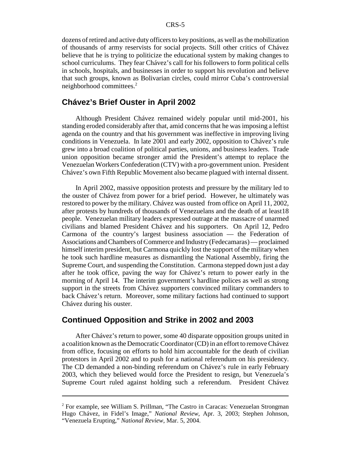dozens of retired and active duty officers to key positions, as well as the mobilization of thousands of army reservists for social projects. Still other critics of Chávez believe that he is trying to politicize the educational system by making changes to school curriculums. They fear Chávez's call for his followers to form political cells in schools, hospitals, and businesses in order to support his revolution and believe that such groups, known as Bolivarian circles, could mirror Cuba's controversial neighborhood committees.2

### **Chávez's Brief Ouster in April 2002**

Although President Chávez remained widely popular until mid-2001, his standing eroded considerably after that, amid concerns that he was imposing a leftist agenda on the country and that his government was ineffective in improving living conditions in Venezuela. In late 2001 and early 2002, opposition to Chávez's rule grew into a broad coalition of political parties, unions, and business leaders. Trade union opposition became stronger amid the President's attempt to replace the Venezuelan Workers Confederation (CTV) with a pro-government union. President Chávez's own Fifth Republic Movement also became plagued with internal dissent.

In April 2002, massive opposition protests and pressure by the military led to the ouster of Chávez from power for a brief period. However, he ultimately was restored to power by the military. Chávez was ousted from office on April 11, 2002, after protests by hundreds of thousands of Venezuelans and the death of at least18 people. Venezuelan military leaders expressed outrage at the massacre of unarmed civilians and blamed President Chávez and his supporters. On April 12, Pedro Carmona of the country's largest business association — the Federation of Associations and Chambers of Commerce and Industry (Fedecamaras) — proclaimed himself interim president, but Carmona quickly lost the support of the military when he took such hardline measures as dismantling the National Assembly, firing the Supreme Court, and suspending the Constitution. Carmona stepped down just a day after he took office, paving the way for Chávez's return to power early in the morning of April 14. The interim government's hardline polices as well as strong support in the streets from Chávez supporters convinced military commanders to back Chávez's return. Moreover, some military factions had continued to support Chávez during his ouster.

### **Continued Opposition and Strike in 2002 and 2003**

After Chávez's return to power, some 40 disparate opposition groups united in a coalition known as the Democratic Coordinator (CD) in an effort to remove Chávez from office, focusing on efforts to hold him accountable for the death of civilian protestors in April 2002 and to push for a national referendum on his presidency. The CD demanded a non-binding referendum on Chávez's rule in early February 2003, which they believed would force the President to resign, but Venezuela's Supreme Court ruled against holding such a referendum. President Chávez

<sup>&</sup>lt;sup>2</sup> For example, see William S. Prillman, "The Castro in Caracas: Venezuelan Strongman Hugo Chávez, in Fidel's Image," *National Review*, Apr. 3, 2003; Stephen Johnson, "Venezuela Erupting," *National Review*, Mar. 5, 2004.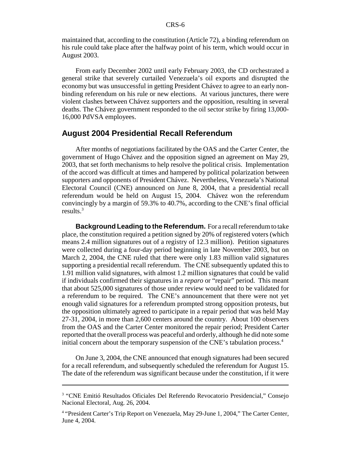maintained that, according to the constitution (Article 72), a binding referendum on his rule could take place after the halfway point of his term, which would occur in August 2003.

From early December 2002 until early February 2003, the CD orchestrated a general strike that severely curtailed Venezuela's oil exports and disrupted the economy but was unsuccessful in getting President Chávez to agree to an early nonbinding referendum on his rule or new elections. At various junctures, there were violent clashes between Chávez supporters and the opposition, resulting in several deaths. The Chávez government responded to the oil sector strike by firing 13,000- 16,000 PdVSA employees.

### **August 2004 Presidential Recall Referendum**

After months of negotiations facilitated by the OAS and the Carter Center, the government of Hugo Chávez and the opposition signed an agreement on May 29, 2003, that set forth mechanisms to help resolve the political crisis. Implementation of the accord was difficult at times and hampered by political polarization between supporters and opponents of President Chávez. Nevertheless, Venezuela's National Electoral Council (CNE) announced on June 8, 2004, that a presidential recall referendum would be held on August 15, 2004. Chávez won the referendum convincingly by a margin of 59.3% to 40.7%, according to the CNE's final official results.3

**Background Leading to the Referendum.** For a recall referendum to take place, the constitution required a petition signed by 20% of registered voters (which means 2.4 million signatures out of a registry of 12.3 million). Petition signatures were collected during a four-day period beginning in late November 2003, but on March 2, 2004, the CNE ruled that there were only 1.83 million valid signatures supporting a presidential recall referendum. The CNE subsequently updated this to 1.91 million valid signatures, with almost 1.2 million signatures that could be valid if individuals confirmed their signatures in a *reparo* or "repair" period. This meant that about 525,000 signatures of those under review would need to be validated for a referendum to be required. The CNE's announcement that there were not yet enough valid signatures for a referendum prompted strong opposition protests, but the opposition ultimately agreed to participate in a repair period that was held May 27-31, 2004, in more than 2,600 centers around the country. About 100 observers from the OAS and the Carter Center monitored the repair period; President Carter reported that the overall process was peaceful and orderly, although he did note some initial concern about the temporary suspension of the CNE's tabulation process.<sup>4</sup>

On June 3, 2004, the CNE announced that enough signatures had been secured for a recall referendum, and subsequently scheduled the referendum for August 15. The date of the referendum was significant because under the constitution, if it were

<sup>&</sup>lt;sup>3</sup> "CNE Emitió Resultados Oficiales Del Referendo Revocatorio Presidencial," Consejo Nacional Electoral, Aug. 26, 2004.

<sup>&</sup>lt;sup>4</sup> "President Carter's Trip Report on Venezuela, May 29-June 1, 2004," The Carter Center, June 4, 2004.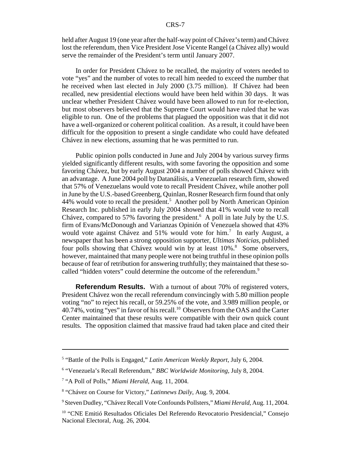held after August 19 (one year after the half-way point of Chávez's term) and Chávez lost the referendum, then Vice President Jose Vicente Rangel (a Chávez ally) would serve the remainder of the President's term until January 2007.

In order for President Chávez to be recalled, the majority of voters needed to vote "yes" and the number of votes to recall him needed to exceed the number that he received when last elected in July 2000 (3.75 million). If Chávez had been recalled, new presidential elections would have been held within 30 days. It was unclear whether President Chávez would have been allowed to run for re-election, but most observers believed that the Supreme Court would have ruled that he was eligible to run. One of the problems that plagued the opposition was that it did not have a well-organized or coherent political coalition. As a result, it could have been difficult for the opposition to present a single candidate who could have defeated Chávez in new elections, assuming that he was permitted to run.

Public opinion polls conducted in June and July 2004 by various survey firms yielded significantly different results, with some favoring the opposition and some favoring Chávez, but by early August 2004 a number of polls showed Chávez with an advantage. A June 2004 poll by Datanálisis, a Venezuelan research firm, showed that 57% of Venezuelans would vote to recall President Chávez, while another poll in June by the U.S.-based Greenberg, Quinlan, Rosner Research firm found that only 44% would vote to recall the president.<sup>5</sup> Another poll by North American Opinion Research Inc. published in early July 2004 showed that 41% would vote to recall Chávez, compared to 57% favoring the president. $6$  A poll in late July by the U.S. firm of Evans/McDonough and Varianzas Opinión of Venezuela showed that 43% would vote against Chávez and 51% would vote for him.<sup>7</sup> In early August, a newspaper that has been a strong opposition supporter, *Ultimas Noticias*, published four polls showing that Chávez would win by at least 10%.<sup>8</sup> Some observers, however, maintained that many people were not being truthful in these opinion polls because of fear of retribution for answering truthfully; they maintained that these socalled "hidden voters" could determine the outcome of the referendum.<sup>9</sup>

**Referendum Results.** With a turnout of about 70% of registered voters, President Chávez won the recall referendum convincingly with 5.80 million people voting "no" to reject his recall, or 59.25% of the vote, and 3.989 million people, or 40.74%, voting "yes" in favor of his recall.10 Observers from the OAS and the Carter Center maintained that these results were compatible with their own quick count results. The opposition claimed that massive fraud had taken place and cited their

<sup>5</sup> "Battle of the Polls is Engaged," *Latin American Weekly Report*, July 6, 2004.

<sup>6</sup> "Venezuela's Recall Referendum," *BBC Worldwide Monitoring*, July 8, 2004.

<sup>&</sup>lt;sup>7</sup> "A Poll of Polls," Miami Herald, Aug. 11, 2004.

<sup>8</sup> "Chávez on Course for Victory," *Latinnews Daily*, Aug. 9, 2004.

<sup>9</sup> Steven Dudley, "Chávez Recall Vote Confounds Pollsters," *Miami Herald*, Aug. 11, 2004.

<sup>&</sup>lt;sup>10</sup> "CNE Emitió Resultados Oficiales Del Referendo Revocatorio Presidencial," Consejo Nacional Electoral, Aug. 26, 2004.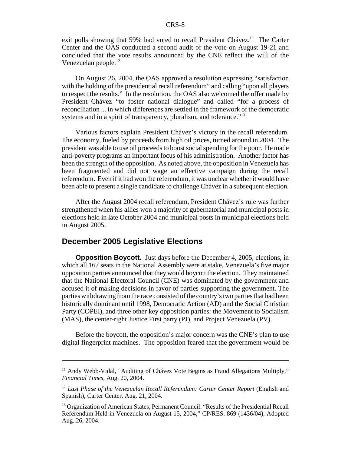exit polls showing that 59% had voted to recall President Chávez.<sup>11</sup> The Carter Center and the OAS conducted a second audit of the vote on August 19-21 and concluded that the vote results announced by the CNE reflect the will of the Venezuelan people.<sup>12</sup>

On August 26, 2004, the OAS approved a resolution expressing "satisfaction with the holding of the presidential recall referendum" and calling "upon all players to respect the results." In the resolution, the OAS also welcomed the offer made by President Chávez "to foster national dialogue" and called "for a process of reconciliation ... in which differences are settled in the framework of the democratic systems and in a spirit of transparency, pluralism, and tolerance."<sup>13</sup>

Various factors explain President Chávez's victory in the recall referendum. The economy, fueled by proceeds from high oil prices, turned around in 2004. The president was able to use oil proceeds to boost social spending for the poor. He made anti-poverty programs an important focus of his administration. Another factor has been the strength of the opposition. As noted above, the opposition in Venezuela has been fragmented and did not wage an effective campaign during the recall referendum. Even if it had won the referendum, it was unclear whether it would have been able to present a single candidate to challenge Chávez in a subsequent election.

After the August 2004 recall referendum, President Chávez's rule was further strengthened when his allies won a majority of gubernatorial and municipal posts in elections held in late October 2004 and municipal posts in municipal elections held in August 2005.

# **December 2005 Legislative Elections**

**Opposition Boycott.** Just days before the December 4, 2005, elections, in which all 167 seats in the National Assembly were at stake, Venezuela's five major opposition parties announced that they would boycott the election. They maintained that the National Electoral Council (CNE) was dominated by the government and accused it of making decisions in favor of parties supporting the government. The parties withdrawing from the race consisted of the country's two parties that had been historically dominant until 1998, Democratic Action (AD) and the Social Christian Party (COPEI), and three other key opposition parties: the Movement to Socialism (MAS), the center-right Justice First party (PJ), and Project Venezuela (PV).

Before the boycott, the opposition's major concern was the CNE's plan to use digital fingerprint machines. The opposition feared that the government would be

<sup>&</sup>lt;sup>11</sup> Andy Webb-Vidal, "Auditing of Chávez Vote Begins as Fraud Allegations Multiply," *Financial Times*, Aug. 20, 2004.

<sup>12</sup> *Last Phase of the Venezuelan Recall Referendum: Carter Center Report* (English and Spanish), Carter Center, Aug. 21, 2004.

<sup>&</sup>lt;sup>13</sup> Organization of American States, Permanent Council. "Results of the Presidential Recall Referendum Held in Venezuela on August 15, 2004," CP/RES. 869 (1436/04), Adopted Aug. 26, 2004.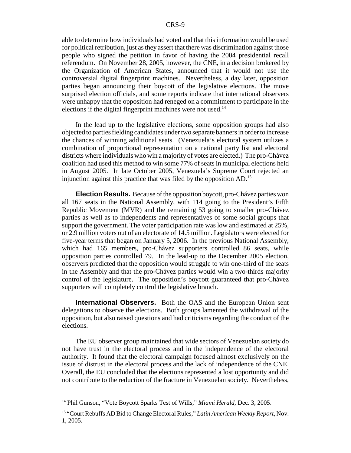able to determine how individuals had voted and that this information would be used for political retribution, just as they assert that there was discrimination against those people who signed the petition in favor of having the 2004 presidential recall referendum. On November 28, 2005, however, the CNE, in a decision brokered by the Organization of American States, announced that it would not use the controversial digital fingerprint machines. Nevertheless, a day later, opposition parties began announcing their boycott of the legislative elections. The move surprised election officials, and some reports indicate that international observers were unhappy that the opposition had reneged on a commitment to participate in the elections if the digital fingerprint machines were not used. $14$ 

In the lead up to the legislative elections, some opposition groups had also objected to parties fielding candidates under two separate banners in order to increase the chances of winning additional seats. (Venezuela's electoral system utilizes a combination of proportional representation on a national party list and electoral districts where individuals who win a majority of votes are elected.) The pro-Chávez coalition had used this method to win some 77% of seats in municipal elections held in August 2005. In late October 2005, Venezuela's Supreme Court rejected an injunction against this practice that was filed by the opposition  $AD$ <sup>15</sup>

**Election Results.** Because of the opposition boycott, pro-Chávez parties won all 167 seats in the National Assembly, with 114 going to the President's Fifth Republic Movement (MVR) and the remaining 53 going to smaller pro-Chávez parties as well as to independents and representatives of some social groups that support the government. The voter participation rate was low and estimated at 25%, or 2.9 million voters out of an electorate of 14.5 million. Legislators were elected for five-year terms that began on January 5, 2006. In the previous National Assembly, which had 165 members, pro-Chávez supporters controlled 86 seats, while opposition parties controlled 79. In the lead-up to the December 2005 election, observers predicted that the opposition would struggle to win one-third of the seats in the Assembly and that the pro-Chávez parties would win a two-thirds majority control of the legislature. The opposition's boycott guaranteed that pro-Chávez supporters will completely control the legislative branch.

**International Observers.** Both the OAS and the European Union sent delegations to observe the elections. Both groups lamented the withdrawal of the opposition, but also raised questions and had criticisms regarding the conduct of the elections.

The EU observer group maintained that wide sectors of Venezuelan society do not have trust in the electoral process and in the independence of the electoral authority. It found that the electoral campaign focused almost exclusively on the issue of distrust in the electoral process and the lack of independence of the CNE. Overall, the EU concluded that the elections represented a lost opportunity and did not contribute to the reduction of the fracture in Venezuelan society. Nevertheless,

<sup>&</sup>lt;sup>14</sup> Phil Gunson, "Vote Boycott Sparks Test of Wills," *Miami Herald*, Dec. 3, 2005.

<sup>15 &</sup>quot;Court Rebuffs AD Bid to Change Electoral Rules," *Latin American Weekly Report*, Nov. 1, 2005.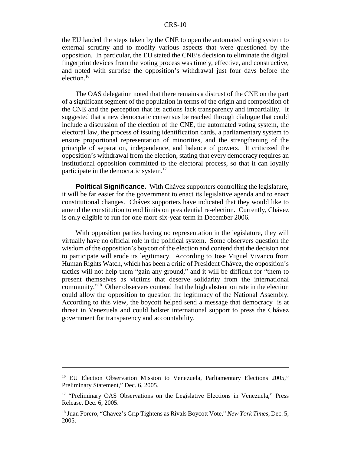the EU lauded the steps taken by the CNE to open the automated voting system to external scrutiny and to modify various aspects that were questioned by the opposition. In particular, the EU stated the CNE's decision to eliminate the digital fingerprint devices from the voting process was timely, effective, and constructive, and noted with surprise the opposition's withdrawal just four days before the election.16

The OAS delegation noted that there remains a distrust of the CNE on the part of a significant segment of the population in terms of the origin and composition of the CNE and the perception that its actions lack transparency and impartiality. It suggested that a new democratic consensus be reached through dialogue that could include a discussion of the election of the CNE, the automated voting system, the electoral law, the process of issuing identification cards, a parliamentary system to ensure proportional representation of minorities, and the strengthening of the principle of separation, independence, and balance of powers. It criticized the opposition's withdrawal from the election, stating that every democracy requires an institutional opposition committed to the electoral process, so that it can loyally participate in the democratic system.<sup>17</sup>

**Political Significance.** With Chávez supporters controlling the legislature, it will be far easier for the government to enact its legislative agenda and to enact constitutional changes. Chávez supporters have indicated that they would like to amend the constitution to end limits on presidential re-election. Currently, Chávez is only eligible to run for one more six-year term in December 2006.

With opposition parties having no representation in the legislature, they will virtually have no official role in the political system. Some observers question the wisdom of the opposition's boycott of the election and contend that the decision not to participate will erode its legitimacy. According to Jose Miguel Vivanco from Human Rights Watch, which has been a critic of President Chávez, the opposition's tactics will not help them "gain any ground," and it will be difficult for "them to present themselves as victims that deserve solidarity from the international community."18 Other observers contend that the high abstention rate in the election could allow the opposition to question the legitimacy of the National Assembly. According to this view, the boycott helped send a message that democracy is at threat in Venezuela and could bolster international support to press the Chávez government for transparency and accountability.

<sup>&</sup>lt;sup>16</sup> EU Election Observation Mission to Venezuela, Parliamentary Elections 2005," Preliminary Statement," Dec. 6, 2005.

<sup>&</sup>lt;sup>17</sup> "Preliminary OAS Observations on the Legislative Elections in Venezuela," Press Release, Dec. 6, 2005.

<sup>18</sup> Juan Forero, "Chavez's Grip Tightens as Rivals Boycott Vote," *New York Times*, Dec. 5, 2005.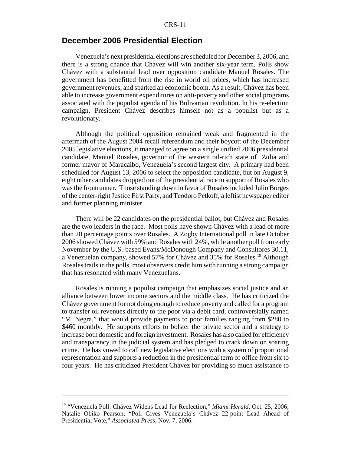## **December 2006 Presidential Election**

Venezuela's next presidential elections are scheduled for December 3, 2006, and there is a strong chance that Chávez will win another six-year term. Polls show Chávez with a substantial lead over opposition candidate Manuel Rosales. The government has benefitted from the rise in world oil prices, which has increased government revenues, and sparked an economic boom. As a result, Chávez has been able to increase government expenditures on anti-poverty and other social programs associated with the populist agenda of his Bolivarian revolution. In his re-election campaign, President Chávez describes himself not as a populist but as a revolutionary.

Although the political opposition remained weak and fragmented in the aftermath of the August 2004 recall referendum and their boycott of the December 2005 legislative elections, it managed to agree on a single unified 2006 presidential candidate, Manuel Rosales, governor of the western oil-rich state of Zulia and former mayor of Maracaibo, Venezuela's second largest city. A primary had been scheduled for August 13, 2006 to select the opposition candidate, but on August 9, eight other candidates dropped out of the presidential race in support of Rosales who was the frontrunner. Those standing down in favor of Rosales included Julio Borges of the center-right Justice First Party, and Teodoro Petkoff, a leftist newspaper editor and former planning minister.

There will be 22 candidates on the presidential ballot, but Chávez and Rosales are the two leaders in the race. Most polls have shown Chávez with a lead of more than 20 percentage points over Rosales. A Zogby International poll in late October 2006 showed Chávez with 59% and Rosales with 24%, while another poll from early November by the U.S.-based Evans/McDonough Company and Consultores 30.11, a Venezuelan company, showed 57% for Chávez and 35% for Rosales.<sup>19</sup> Although Rosales trails in the polls, most observers credit him with running a strong campaign that has resonated with many Venezuelans.

Rosales is running a populist campaign that emphasizes social justice and an alliance between lower income sectors and the middle class. He has criticized the Chávez government for not doing enough to reduce poverty and called for a program to transfer oil revenues directly to the poor via a debit card, controversially named "Mi Negra," that would provide payments to poor families ranging from \$280 to \$460 monthly. He supports efforts to bolster the private sector and a strategy to increase both domestic and foreign investment. Rosales has also called for efficiency and transparency in the judicial system and has pledged to crack down on soaring crime. He has vowed to call new legislative elections with a system of proportional representation and supports a reduction in the presidential term of office from six to four years. He has criticized President Chávez for providing so much assistance to

<sup>&</sup>lt;sup>19</sup> "Venezuela Poll: Chávez Widens Lead for Reelection," Miami Herald, Oct. 25, 2006; Natalie Obiko Pearson, "Poll Gives Venezuela's Chávez 22-point Lead Ahead of Presidential Vote," *Associated Press*, Nov. 7, 2006.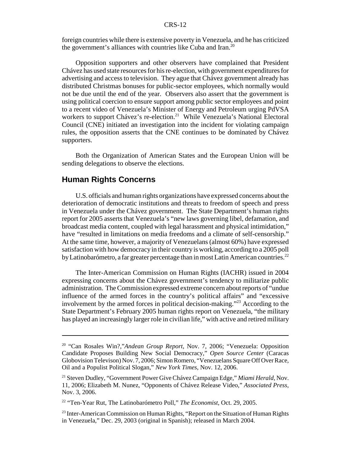foreign countries while there is extensive poverty in Venezuela, and he has criticized the government's alliances with countries like Cuba and Iran.<sup>20</sup>

Opposition supporters and other observers have complained that President Chávez has used state resources for his re-election, with government expenditures for advertising and access to television. They ague that Chávez government already has distributed Christmas bonuses for public-sector employees, which normally would not be due until the end of the year. Observers also assert that the government is using political coercion to ensure support among public sector employees and point to a recent video of Venezuela's Minister of Energy and Petroleum urging PdVSA workers to support Chávez's re-election.<sup>21</sup> While Venezuela's National Electoral Council (CNE) initiated an investigation into the incident for violating campaign rules, the opposition asserts that the CNE continues to be dominated by Chávez supporters.

Both the Organization of American States and the European Union will be sending delegations to observe the elections.

# **Human Rights Concerns**

U.S. officials and human rights organizations have expressed concerns about the deterioration of democratic institutions and threats to freedom of speech and press in Venezuela under the Chávez government. The State Department's human rights report for 2005 asserts that Venezuela's "new laws governing libel, defamation, and broadcast media content, coupled with legal harassment and physical intimidation," have "resulted in limitations on media freedoms and a climate of self-censorship." At the same time, however, a majority of Venezuelans (almost 60%) have expressed satisfaction with how democracy in their country is working, according to a 2005 poll by Latinobarómetro, a far greater percentage than in most Latin American countries.<sup>22</sup>

The Inter-American Commission on Human Rights (IACHR) issued in 2004 expressing concerns about the Chávez government's tendency to militarize public administration. The Commission expressed extreme concern about reports of "undue influence of the armed forces in the country's political affairs" and "excessive involvement by the armed forces in political decision-making."<sup>23</sup> According to the State Department's February 2005 human rights report on Venezuela, "the military has played an increasingly larger role in civilian life," with active and retired military

<sup>20 &</sup>quot;Can Rosales Win?,"*Andean Group Report*, Nov. 7, 2006; "Venezuela: Opposition Candidate Proposes Building New Social Democracy," *Open Source Center* (Caracas Globovision Televison) Nov. 7, 2006; Simon Romero, "Venezuelans Square Off Over Race, Oil and a Populist Political Slogan," *New York Times*, Nov. 12, 2006.

<sup>21</sup> Steven Dudley, "Government Power Give Chávez Campaign Edge," *Miami Herald*, Nov. 11, 2006; Elizabeth M. Nunez, "Opponents of Chávez Release Video," *Associated Press*, Nov. 3, 2006.

<sup>22 &</sup>quot;Ten-Year Rut, The Latinobarómetro Poll," *The Economist*, Oct. 29, 2005.

<sup>&</sup>lt;sup>23</sup> Inter-American Commission on Human Rights, "Report on the Situation of Human Rights in Venezuela," Dec. 29, 2003 (original in Spanish); released in March 2004.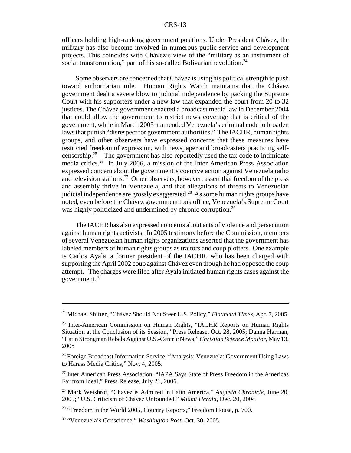officers holding high-ranking government positions. Under President Chávez, the military has also become involved in numerous public service and development projects. This coincides with Chávez's view of the "military as an instrument of social transformation," part of his so-called Bolivarian revolution.<sup>24</sup>

Some observers are concerned that Chávez is using his political strength to push toward authoritarian rule. Human Rights Watch maintains that the Chávez government dealt a severe blow to judicial independence by packing the Supreme Court with his supporters under a new law that expanded the court from 20 to 32 justices. The Chávez government enacted a broadcast media law in December 2004 that could allow the government to restrict news coverage that is critical of the government, while in March 2005 it amended Venezuela's criminal code to broaden laws that punish "disrespect for government authorities." The IACHR, human rights groups, and other observers have expressed concerns that these measures have restricted freedom of expression, with newspaper and broadcasters practicing selfcensorship.<sup>25</sup> The government has also reportedly used the tax code to intimidate media critics.26 In July 2006, a mission of the Inter American Press Association expressed concern about the government's coercive action against Venezuela radio and television stations.<sup>27</sup> Other observers, however, assert that freedom of the press and assembly thrive in Venezuela, and that allegations of threats to Venezuelan judicial independence are grossly exaggerated.<sup>28</sup> As some human rights groups have noted, even before the Chávez government took office, Venezuela's Supreme Court was highly politicized and undermined by chronic corruption.<sup>29</sup>

The IACHR has also expressed concerns about acts of violence and persecution against human rights activists. In 2005 testimony before the Commission, members of several Venezuelan human rights organizations asserted that the government has labeled members of human rights groups as traitors and coup plotters. One example is Carlos Ayala, a former president of the IACHR, who has been charged with supporting the April 2002 coup against Chávez even though he had opposed the coup attempt. The charges were filed after Ayala initiated human rights cases against the government.<sup>30</sup>

<sup>24</sup> Michael Shifter, "Chávez Should Not Steer U.S. Policy," *Financial Times*, Apr. 7, 2005.

<sup>25</sup> Inter-American Commission on Human Rights, "IACHR Reports on Human Rights Situation at the Conclusion of its Session," Press Release, Oct. 28, 2005; Danna Harman, "Latin Strongman Rebels Against U.S.-Centric News," *Christian Science Monitor*, May 13, 2005

<sup>26</sup> Foreign Broadcast Information Service, "Analysis: Venezuela: Government Using Laws to Harass Media Critics," Nov. 4, 2005.

<sup>&</sup>lt;sup>27</sup> Inter American Press Association, "IAPA Says State of Press Freedom in the Americas Far from Ideal," Press Release, July 21, 2006.

<sup>28</sup> Mark Weisbrot, "Chavez is Admired in Latin America," *Augusta Chronicle*, June 20, 2005; "U.S. Criticism of Chávez Unfounded," *Miami Herald*, Dec. 20, 2004.

 $29$  "Freedom in the World 2005, Country Reports," Freedom House, p. 700.

<sup>30 &</sup>quot;Venezuela's Conscience," *Washington Post*, Oct. 30, 2005.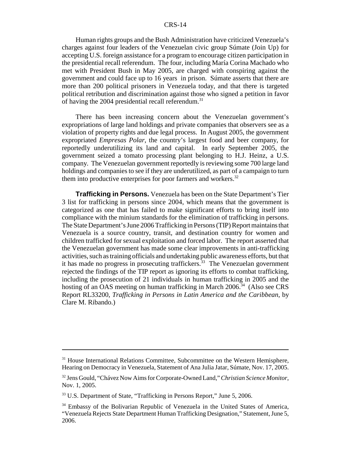Human rights groups and the Bush Administration have criticized Venezuela's charges against four leaders of the Venezuelan civic group Súmate (Join Up) for accepting U.S. foreign assistance for a program to encourage citizen participation in the presidential recall referendum. The four, including María Corina Machado who met with President Bush in May 2005, are charged with conspiring against the government and could face up to 16 years in prison. Súmate asserts that there are more than 200 political prisoners in Venezuela today, and that there is targeted political retribution and discrimination against those who signed a petition in favor of having the 2004 presidential recall referendum.<sup>31</sup>

There has been increasing concern about the Venezuelan government's expropriations of large land holdings and private companies that observers see as a violation of property rights and due legal process. In August 2005, the government expropriated *Empresas Polar*, the country's largest food and beer company, for reportedly underutilizing its land and capital. In early September 2005, the government seized a tomato processing plant belonging to H.J. Heinz, a U.S. company. The Venezuelan government reportedly is reviewing some 700 large land holdings and companies to see if they are underutilized, as part of a campaign to turn them into productive enterprises for poor farmers and workers. $32$ 

**Trafficking in Persons.** Venezuela has been on the State Department's Tier 3 list for trafficking in persons since 2004, which means that the government is categorized as one that has failed to make significant efforts to bring itself into compliance with the minium standards for the elimination of trafficking in persons. The State Department's June 2006 Trafficking in Persons (TIP) Report maintains that Venezuela is a source country, transit, and destination country for women and children trafficked for sexual exploitation and forced labor. The report asserted that the Venezuelan government has made some clear improvements in anti-trafficking activities, such as training officials and undertaking public awareness efforts, but that it has made no progress in prosecuting traffickers.<sup>33</sup> The Venezuelan government rejected the findings of the TIP report as ignoring its efforts to combat trafficking, including the prosecution of 21 individuals in human trafficking in 2005 and the hosting of an OAS meeting on human trafficking in March 2006.<sup>34</sup> (Also see CRS) Report RL33200, *Trafficking in Persons in Latin America and the Caribbean*, by Clare M. Ribando.)

<sup>&</sup>lt;sup>31</sup> House International Relations Committee, Subcommittee on the Western Hemisphere, Hearing on Democracy in Venezuela, Statement of Ana Julia Jatar, Súmate, Nov. 17, 2005.

<sup>32</sup> Jens Gould, "Chávez Now Aims for Corporate-Owned Land," *Christian Science Monitor*, Nov. 1, 2005.

<sup>&</sup>lt;sup>33</sup> U.S. Department of State, "Trafficking in Persons Report," June 5, 2006.

<sup>&</sup>lt;sup>34</sup> Embassy of the Bolivarian Republic of Venezuela in the United States of America, "Venezuela Rejects State Department Human Trafficking Designation," Statement, June 5, 2006.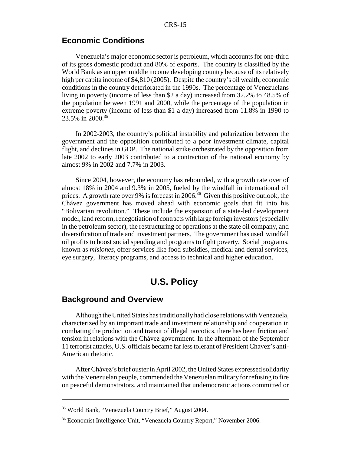# **Economic Conditions**

Venezuela's major economic sector is petroleum, which accounts for one-third of its gross domestic product and 80% of exports. The country is classified by the World Bank as an upper middle income developing country because of its relatively high per capita income of \$4,810 (2005). Despite the country's oil wealth, economic conditions in the country deteriorated in the 1990s. The percentage of Venezuelans living in poverty (income of less than \$2 a day) increased from 32.2% to 48.5% of the population between 1991 and 2000, while the percentage of the population in extreme poverty (income of less than \$1 a day) increased from 11.8% in 1990 to 23.5% in 2000.35

In 2002-2003, the country's political instability and polarization between the government and the opposition contributed to a poor investment climate, capital flight, and declines in GDP. The national strike orchestrated by the opposition from late 2002 to early 2003 contributed to a contraction of the national economy by almost 9% in 2002 and 7.7% in 2003.

Since 2004, however, the economy has rebounded, with a growth rate over of almost 18% in 2004 and 9.3% in 2005, fueled by the windfall in international oil prices. A growth rate over 9% is forecast in 2006.<sup>36</sup> Given this positive outlook, the Chávez government has moved ahead with economic goals that fit into his "Bolivarian revolution." These include the expansion of a state-led development model, land reform, renegotiation of contracts with large foreign investors (especially in the petroleum sector), the restructuring of operations at the state oil company, and diversification of trade and investment partners. The government has used windfall oil profits to boost social spending and programs to fight poverty. Social programs, known as *misiones,* offer services like food subsidies, medical and dental services, eye surgery, literacy programs, and access to technical and higher education.

# **U.S. Policy**

# **Background and Overview**

Although the United States has traditionally had close relations with Venezuela, characterized by an important trade and investment relationship and cooperation in combating the production and transit of illegal narcotics, there has been friction and tension in relations with the Chávez government. In the aftermath of the September 11 terrorist attacks, U.S. officials became far less tolerant of President Chávez's anti-American rhetoric.

After Chávez's brief ouster in April 2002, the United States expressed solidarity with the Venezuelan people, commended the Venezuelan military for refusing to fire on peaceful demonstrators, and maintained that undemocratic actions committed or

<sup>35</sup> World Bank, "Venezuela Country Brief," August 2004.

<sup>36</sup> Economist Intelligence Unit, "Venezuela Country Report," November 2006.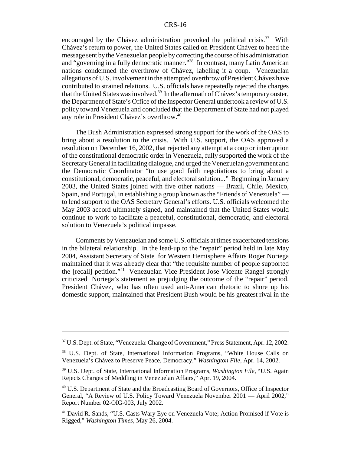encouraged by the Chávez administration provoked the political crisis.<sup>37</sup> With Chávez's return to power, the United States called on President Chávez to heed the message sent by the Venezuelan people by correcting the course of his administration and "governing in a fully democratic manner."38 In contrast, many Latin American nations condemned the overthrow of Chávez, labeling it a coup. Venezuelan allegations of U.S. involvement in the attempted overthrow of President Chávez have contributed to strained relations. U.S. officials have repeatedly rejected the charges that the United States was involved.<sup>39</sup> In the aftermath of Chávez's temporary ouster, the Department of State's Office of the Inspector General undertook a review of U.S. policy toward Venezuela and concluded that the Department of State had not played any role in President Chávez's overthrow.40

The Bush Administration expressed strong support for the work of the OAS to bring about a resolution to the crisis. With U.S. support, the OAS approved a resolution on December 16, 2002, that rejected any attempt at a coup or interruption of the constitutional democratic order in Venezuela, fully supported the work of the Secretary General in facilitating dialogue, and urged the Venezuelan government and the Democratic Coordinator "to use good faith negotiations to bring about a constitutional, democratic, peaceful, and electoral solution..." Beginning in January 2003, the United States joined with five other nations — Brazil, Chile, Mexico, Spain, and Portugal, in establishing a group known as the "Friends of Venezuela" to lend support to the OAS Secretary General's efforts. U.S. officials welcomed the May 2003 accord ultimately signed, and maintained that the United States would continue to work to facilitate a peaceful, constitutional, democratic, and electoral solution to Venezuela's political impasse.

Comments by Venezuelan and some U.S. officials at times exacerbated tensions in the bilateral relationship. In the lead-up to the "repair" period held in late May 2004, Assistant Secretary of State for Western Hemisphere Affairs Roger Noriega maintained that it was already clear that "the requisite number of people supported the [recall] petition."41 Venezuelan Vice President Jose Vicente Rangel strongly criticized Noriega's statement as prejudging the outcome of the "repair" period. President Chávez, who has often used anti-American rhetoric to shore up his domestic support, maintained that President Bush would be his greatest rival in the

<sup>37</sup> U.S. Dept. of State, "Venezuela: Change of Government," Press Statement, Apr. 12, 2002.

<sup>38</sup> U.S. Dept. of State, International Information Programs, "White House Calls on Venezuela's Chávez to Preserve Peace, Democracy," *Washington File*, Apr. 14, 2002.

<sup>39</sup> U.S. Dept. of State, International Information Programs, *Washington File*, "U.S. Again Rejects Charges of Meddling in Venezuelan Affairs," Apr. 19, 2004.

<sup>40</sup> U.S. Department of State and the Broadcasting Board of Governors, Office of Inspector General, "A Review of U.S. Policy Toward Venezuela November 2001 — April 2002," Report Number 02-OIG-003, July 2002.

<sup>&</sup>lt;sup>41</sup> David R. Sands, "U.S. Casts Wary Eye on Venezuela Vote; Action Promised if Vote is Rigged," *Washington Times*, May 26, 2004.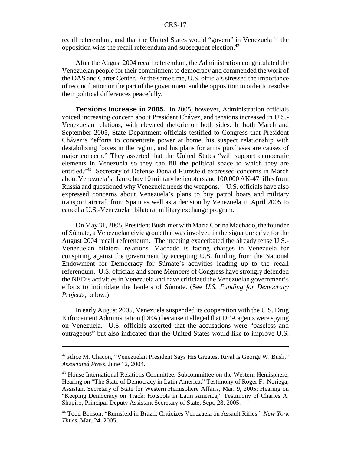recall referendum, and that the United States would "govern" in Venezuela if the opposition wins the recall referendum and subsequent election.42

After the August 2004 recall referendum, the Administration congratulated the Venezuelan people for their commitment to democracy and commended the work of the OAS and Carter Center. At the same time, U.S. officials stressed the importance of reconciliation on the part of the government and the opposition in order to resolve their political differences peacefully.

**Tensions Increase in 2005.** In 2005, however, Administration officials voiced increasing concern about President Chávez, and tensions increased in U.S.- Venezuelan relations, with elevated rhetoric on both sides. In both March and September 2005, State Department officials testified to Congress that President Chávez's "efforts to concentrate power at home, his suspect relationship with destabilizing forces in the region, and his plans for arms purchases are causes of major concern." They asserted that the United States "will support democratic elements in Venezuela so they can fill the political space to which they are entitled."43 Secretary of Defense Donald Rumsfeld expressed concerns in March about Venezuela's plan to buy 10 military helicopters and 100,000 AK-47 rifles from Russia and questioned why Venezuela needs the weapons.<sup>44</sup> U.S. officials have also expressed concerns about Venezuela's plans to buy patrol boats and military transport aircraft from Spain as well as a decision by Venezuela in April 2005 to cancel a U.S.-Venezuelan bilateral military exchange program.

On May 31, 2005, President Bush met with Maria Corina Machado, the founder of Súmate, a Venezuelan civic group that was involved in the signature drive for the August 2004 recall referendum. The meeting exacerbated the already tense U.S.- Venezuelan bilateral relations. Machado is facing charges in Venezuela for conspiring against the government by accepting U.S. funding from the National Endowment for Democracy for Súmate's activities leading up to the recall referendum. U.S. officials and some Members of Congress have strongly defended the NED's activities in Venezuela and have criticized the Venezuelan government's efforts to intimidate the leaders of Súmate. (See *U.S. Funding for Democracy Projects*, below.)

In early August 2005, Venezuela suspended its cooperation with the U.S. Drug Enforcement Administration (DEA) because it alleged that DEA agents were spying on Venezuela. U.S. officials asserted that the accusations were "baseless and outrageous" but also indicated that the United States would like to improve U.S.

<sup>42</sup> Alice M. Chacon, "Venezuelan President Says His Greatest Rival is George W. Bush," *Associated Press*, June 12, 2004.

<sup>&</sup>lt;sup>43</sup> House International Relations Committee, Subcommittee on the Western Hemisphere, Hearing on "The State of Democracy in Latin America," Testimony of Roger F. Noriega, Assistant Secretary of State for Western Hemisphere Affairs, Mar. 9, 2005; Hearing on "Keeping Democracy on Track: Hotspots in Latin America," Testimony of Charles A. Shapiro, Principal Deputy Assistant Secretary of State, Sept. 28, 2005.

<sup>44</sup> Todd Benson, "Rumsfeld in Brazil, Criticizes Venezuela on Assault Rifles," *New York Times*, Mar. 24, 2005.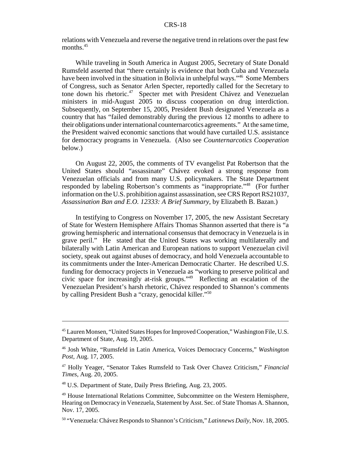relations with Venezuela and reverse the negative trend in relations over the past few months.<sup>45</sup>

While traveling in South America in August 2005, Secretary of State Donald Rumsfeld asserted that "there certainly is evidence that both Cuba and Venezuela have been involved in the situation in Bolivia in unhelpful ways."<sup>46</sup> Some Members of Congress, such as Senator Arlen Specter, reportedly called for the Secretary to tone down his rhetoric.<sup>47</sup> Specter met with President Chávez and Venezuelan ministers in mid-August 2005 to discuss cooperation on drug interdiction. Subsequently, on September 15, 2005, President Bush designated Venezuela as a country that has "failed demonstrably during the previous 12 months to adhere to their obligations under international counternarcotics agreements." At the same time, the President waived economic sanctions that would have curtailed U.S. assistance for democracy programs in Venezuela. (Also see *Counternarcotics Cooperation* below.)

On August 22, 2005, the comments of TV evangelist Pat Robertson that the United States should "assassinate" Chávez evoked a strong response from Venezuelan officials and from many U.S. policymakers. The State Department responded by labeling Robertson's comments as "inappropriate."48 (For further information on the U.S. prohibition against assassination, see CRS Report RS21037, *Assassination Ban and E.O. 12333: A Brief Summary*, by Elizabeth B. Bazan.)

In testifying to Congress on November 17, 2005, the new Assistant Secretary of State for Western Hemisphere Affairs Thomas Shannon asserted that there is "a growing hemispheric and international consensus that democracy in Venezuela is in grave peril." He stated that the United States was working multilaterally and bilaterally with Latin American and European nations to support Venezuelan civil society, speak out against abuses of democracy, and hold Venezuela accountable to its commitments under the Inter-American Democratic Charter. He described U.S. funding for democracy projects in Venezuela as "working to preserve political and civic space for increasingly at-risk groups."49 Reflecting an escalation of the Venezuelan President's harsh rhetoric, Chávez responded to Shannon's comments by calling President Bush a "crazy, genocidal killer."50

48 U.S. Department of State, Daily Press Briefing, Aug. 23, 2005.

<sup>45</sup> Lauren Monsen, "United States Hopes for Improved Cooperation," Washington File, U.S. Department of State, Aug. 19, 2005.

<sup>46</sup> Josh White, "Rumsfeld in Latin America, Voices Democracy Concerns," *Washington Post*, Aug. 17, 2005.

<sup>47</sup> Holly Yeager, "Senator Takes Rumsfeld to Task Over Chavez Criticism," *Financial Times*, Aug. 20, 2005.

<sup>49</sup> House International Relations Committee, Subcommittee on the Western Hemisphere, Hearing on Democracy in Venezuela, Statement by Asst. Sec. of State Thomas A. Shannon, Nov. 17, 2005.

<sup>50 &</sup>quot;Venezuela: Chávez Responds to Shannon's Criticism," *Latinnews Daily*, Nov. 18, 2005.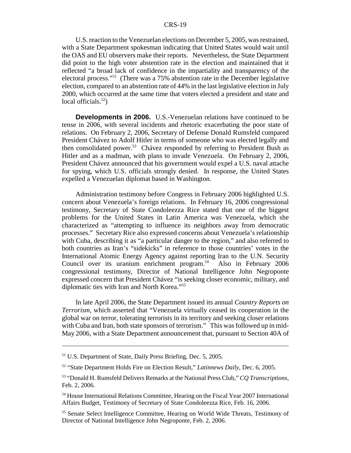U.S. reaction to the Venezuelan elections on December 5, 2005, was restrained, with a State Department spokesman indicating that United States would wait until the OAS and EU observers make their reports. Nevertheless, the State Department did point to the high voter abstention rate in the election and maintained that it reflected "a broad lack of confidence in the impartiality and transparency of the electoral process."51 (There was a 75% abstention rate in the December legislative election, compared to an abstention rate of 44% in the last legislative election in July 2000, which occurred at the same time that voters elected a president and state and local officials. $52$ )

**Developments in 2006.** U.S.-Venezuelan relations have continued to be tense in 2006, with several incidents and rhetoric exacerbating the poor state of relations. On February 2, 2006, Secretary of Defense Donald Rumsfeld compared President Chávez to Adolf Hitler in terms of someone who was elected legally and then consolidated power.<sup>53</sup> Chávez responded by referring to President Bush as Hitler and as a madman, with plans to invade Venezuela. On February 2, 2006, President Chávez announced that his government would expel a U.S. naval attache for spying, which U.S. officials strongly denied. In response, the United States expelled a Venezuelan diplomat based in Washington.

Administration testimony before Congress in February 2006 highlighted U.S. concern about Venezuela's foreign relations. In February 16, 2006 congressional testimony, Secretary of State Condoleezza Rice stated that one of the biggest problems for the United States in Latin America was Venezuela, which she characterized as "attempting to influence its neighbors away from democratic processes." Secretary Rice also expressed concerns about Venezuela's relationship with Cuba, describing it as "a particular danger to the region," and also referred to both countries as Iran's "sidekicks" in reference to those countries' votes in the International Atomic Energy Agency against reporting Iran to the U.N. Security Council over its uranium enrichment program.<sup>54</sup> Also in February 2006 congressional testimony, Director of National Intelligence John Negroponte expressed concern that President Chávez "is seeking closer economic, military, and diplomatic ties with Iran and North Korea."55

In late April 2006, the State Department issued its annual *Country Reports on Terrorism*, which asserted that "Venezuela virtually ceased its cooperation in the global war on terror, tolerating terrorists in its territory and seeking closer relations with Cuba and Iran, both state sponsors of terrorism." This was followed up in mid-May 2006, with a State Department announcement that, pursuant to Section 40A of

<sup>51</sup> U.S. Department of State, Daily Press Briefing, Dec. 5, 2005.

<sup>52 &</sup>quot;State Department Holds Fire on Election Result," *Latinnews Daily*, Dec. 6, 2005.

<sup>53 &</sup>quot;Donald H. Rumsfeld Delivers Remarks at the National Press Club," *CQ Transcriptions*, Feb. 2, 2006.

<sup>54</sup> House International Relations Committee, Hearing on the Fiscal Year 2007 International Affairs Budget, Testimony of Secretary of State Condoleezza Rice, Feb. 16, 2006.

<sup>55</sup> Senate Select Intelligence Committee, Hearing on World Wide Threats, Testimony of Director of National Intelligence John Negroponte, Feb. 2, 2006.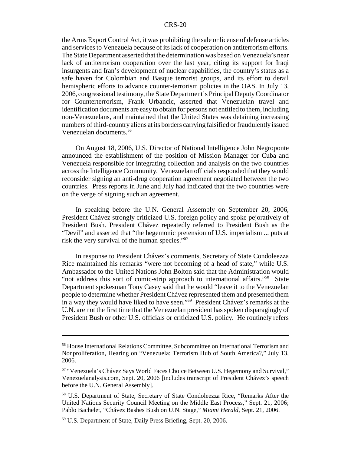the Arms Export Control Act, it was prohibiting the sale or license of defense articles and services to Venezuela because of its lack of cooperation on antiterrorism efforts. The State Department asserted that the determination was based on Venezuela's near lack of antiterrorism cooperation over the last year, citing its support for Iraqi insurgents and Iran's development of nuclear capabilities, the country's status as a safe haven for Colombian and Basque terrorist groups, and its effort to derail hemispheric efforts to advance counter-terrorism policies in the OAS. In July 13, 2006, congressional testimony, the State Department's Principal Deputy Coordinator for Counterterrorism, Frank Urbancic, asserted that Venezuelan travel and identification documents are easy to obtain for persons not entitled to them, including non-Venezuelans, and maintained that the United States was detaining increasing numbers of third-country aliens at its borders carrying falsified or fraudulently issued Venezuelan documents.56

On August 18, 2006, U.S. Director of National Intelligence John Negroponte announced the establishment of the position of Mission Manager for Cuba and Venezuela responsible for integrating collection and analysis on the two countries across the Intelligence Community. Venezuelan officials responded that they would reconsider signing an anti-drug cooperation agreement negotiated between the two countries. Press reports in June and July had indicated that the two countries were on the verge of signing such an agreement.

In speaking before the U.N. General Assembly on September 20, 2006, President Chávez strongly criticized U.S. foreign policy and spoke pejoratively of President Bush. President Chávez repeatedly referred to President Bush as the "Devil" and asserted that "the hegemonic pretension of U.S. imperialism ... puts at risk the very survival of the human species."57

In response to President Chávez's comments, Secretary of State Condoleezza Rice maintained his remarks "were not becoming of a head of state," while U.S. Ambassador to the United Nations John Bolton said that the Administration would "not address this sort of comic-strip approach to international affairs."58 State Department spokesman Tony Casey said that he would "leave it to the Venezuelan people to determine whether President Chávez represented them and presented them in a way they would have liked to have seen."59 President Chávez's remarks at the U.N. are not the first time that the Venezuelan president has spoken disparagingly of President Bush or other U.S. officials or criticized U.S. policy. He routinely refers

<sup>56</sup> House International Relations Committee, Subcommittee on International Terrorism and Nonproliferation, Hearing on "Venezuela: Terrorism Hub of South America?," July 13, 2006.

<sup>57 &</sup>quot;Venezuela's Chávez Says World Faces Choice Between U.S. Hegemony and Survival," Venezuelanalysis.com, Sept. 20, 2006 [includes transcript of President Chávez's speech before the U.N. General Assembly].

<sup>58</sup> U.S. Department of State, Secretary of State Condoleezza Rice, "Remarks After the United Nations Security Council Meeting on the Middle East Process," Sept. 21, 2006; Pablo Bachelet, "Chávez Bashes Bush on U.N. Stage," *Miami Herald*, Sept. 21, 2006.

<sup>59</sup> U.S. Department of State, Daily Press Briefing, Sept. 20, 2006.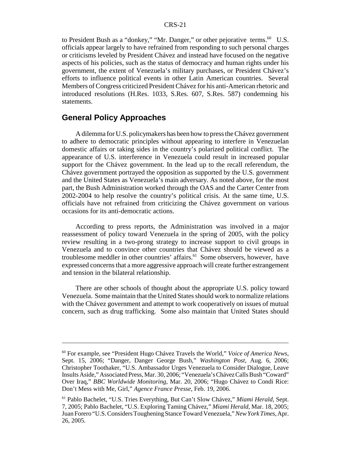to President Bush as a "donkey," "Mr. Danger," or other pejorative terms.<sup>60</sup> U.S. officials appear largely to have refrained from responding to such personal charges or criticisms leveled by President Chávez and instead have focused on the negative aspects of his policies, such as the status of democracy and human rights under his government, the extent of Venezuela's military purchases, or President Chávez's efforts to influence political events in other Latin American countries. Several Members of Congress criticized President Chávez for his anti-American rhetoric and introduced resolutions (H.Res. 1033, S.Res. 607, S.Res. 587) condemning his statements.

# **General Policy Approaches**

A dilemma for U.S. policymakers has been how to press the Chávez government to adhere to democratic principles without appearing to interfere in Venezuelan domestic affairs or taking sides in the country's polarized political conflict. The appearance of U.S. interference in Venezuela could result in increased popular support for the Chávez government. In the lead up to the recall referendum, the Chávez government portrayed the opposition as supported by the U.S. government and the United States as Venezuela's main adversary. As noted above, for the most part, the Bush Administration worked through the OAS and the Carter Center from 2002-2004 to help resolve the country's political crisis. At the same time, U.S. officials have not refrained from criticizing the Chávez government on various occasions for its anti-democratic actions.

According to press reports, the Administration was involved in a major reassessment of policy toward Venezuela in the spring of 2005, with the policy review resulting in a two-prong strategy to increase support to civil groups in Venezuela and to convince other countries that Chávez should be viewed as a troublesome meddler in other countries' affairs.<sup>61</sup> Some observers, however, have expressed concerns that a more aggressive approach will create further estrangement and tension in the bilateral relationship.

There are other schools of thought about the appropriate U.S. policy toward Venezuela. Some maintain that the United States should work to normalize relations with the Chávez government and attempt to work cooperatively on issues of mutual concern, such as drug trafficking. Some also maintain that United States should

<sup>60</sup> For example, see "President Hugo Chávez Travels the World," *Voice of America News*, Sept. 15, 2006; "Danger, Danger George Bush," *Washington Post*, Aug. 6, 2006; Christopher Toothaker, "U.S. Ambassador Urges Venezuela to Consider Dialogue, Leave Insults Aside," Associated Press, Mar. 30, 2006; "Venezuela's Chávez Calls Bush "Coward" Over Iraq," *BBC Worldwide Monitoring*, Mar. 20, 2006; "Hugo Chávez to Condi Rice: Don't Mess with Me, Girl," *Agence France Presse*, Feb. 19, 2006.

<sup>61</sup> Pablo Bachelet, "U.S. Tries Everything, But Can't Slow Chávez," *Miami Herald*, Sept. 7, 2005; Pablo Bachelet, "U.S. Exploring Taming Chávez," *Miami Herald*, Mar. 18, 2005; Juan Forero "U.S. Considers Toughening Stance Toward Venezuela," *New York Times*, Apr. 26, 2005.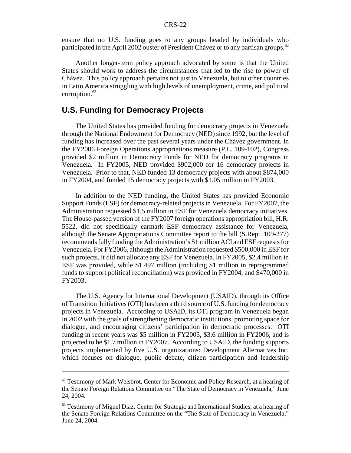ensure that no U.S. funding goes to any groups headed by individuals who participated in the April 2002 ouster of President Chávez or to any partisan groups.<sup>62</sup>

Another longer-term policy approach advocated by some is that the United States should work to address the circumstances that led to the rise to power of Chávez. This policy approach pertains not just to Venezuela, but to other countries in Latin America struggling with high levels of unemployment, crime, and political corruption. $63$ 

# **U.S. Funding for Democracy Projects**

The United States has provided funding for democracy projects in Venezuela through the National Endowment for Democracy (NED) since 1992, but the level of funding has increased over the past several years under the Chávez government. In the FY2006 Foreign Operations appropriations measure (P.L. 109-102), Congress provided \$2 million in Democracy Funds for NED for democracy programs in Venezuela. In FY2005, NED provided \$902,000 for 16 democracy projects in Venezuela. Prior to that, NED funded 13 democracy projects with about \$874,000 in FY2004, and funded 15 democracy projects with \$1.05 million in FY2003.

In addition to the NED funding, the United States has provided Economic Support Funds (ESF) for democracy-related projects in Venezuela. For FY2007, the Administration requested \$1.5 million in ESF for Venezuela democracy initiatives. The House-passed version of the FY2007 foreign operations appropriation bill, H.R. 5522, did not specifically earmark ESF democracy assistance for Venezuela, although the Senate Appropriations Committee report to the bill (S.Rept. 109-277) recommends fully funding the Administration's \$1 million ACI and ESF requests for Venezuela. For FY2006, although the Administration requested \$500,000 in ESF for such projects, it did not allocate any ESF for Venezuela. In FY2005, \$2.4 million in ESF was provided, while \$1.497 million (including \$1 million in reprogrammed funds to support political reconciliation) was provided in FY2004, and \$470,000 in FY2003.

The U.S. Agency for International Development (USAID), through its Office of Transition Initiatives (OTI) has been a third source of U.S. funding for democracy projects in Venezuela. According to USAID, its OTI program in Venezuela began in 2002 with the goals of strengthening democratic institutions, promoting space for dialogue, and encouraging citizens' participation in democratic processes. OTI funding in recent years was \$5 million in FY2005, \$3.6 million in FY2006, and is projected to be \$1.7 million in FY2007. According to USAID, the funding supports projects implemented by five U.S. organizations: Development Alternatives Inc, which focuses on dialogue, public debate, citizen participation and leadership

 $62$  Testimony of Mark Weisbrot, Center for Economic and Policy Research, at a hearing of the Senate Foreign Relations Committee on "The State of Democracy in Venezuela," June 24, 2004.

<sup>&</sup>lt;sup>63</sup> Testimony of Miguel Diaz, Center for Strategic and International Studies, at a hearing of the Senate Foreign Relations Committee on the "The State of Democracy in Venezuela," June 24, 2004.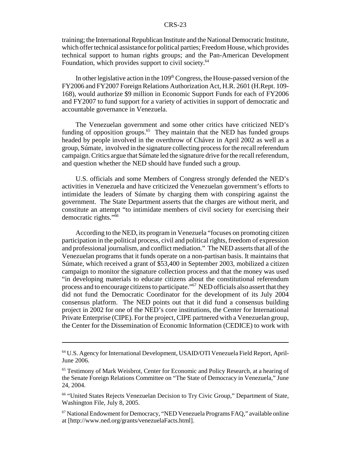training; the International Republican Institute and the National Democratic Institute, which offer technical assistance for political parties; Freedom House, which provides technical support to human rights groups; and the Pan-American Development Foundation, which provides support to civil society.<sup>64</sup>

In other legislative action in the  $109<sup>th</sup>$  Congress, the House-passed version of the FY2006 and FY2007 Foreign Relations Authorization Act, H.R. 2601 (H.Rept. 109- 168), would authorize \$9 million in Economic Support Funds for each of FY2006 and FY2007 to fund support for a variety of activities in support of democratic and accountable governance in Venezuela.

The Venezuelan government and some other critics have criticized NED's funding of opposition groups. $65$  They maintain that the NED has funded groups headed by people involved in the overthrow of Chávez in April 2002 as well as a group, Súmate, involved in the signature collecting process for the recall referendum campaign. Critics argue that Súmate led the signature drive for the recall referendum, and question whether the NED should have funded such a group.

U.S. officials and some Members of Congress strongly defended the NED's activities in Venezuela and have criticized the Venezuelan government's efforts to intimidate the leaders of Súmate by charging them with conspiring against the government. The State Department asserts that the charges are without merit, and constitute an attempt "to intimidate members of civil society for exercising their democratic rights."66

According to the NED, its program in Venezuela "focuses on promoting citizen participation in the political process, civil and political rights, freedom of expression and professional journalism, and conflict mediation." The NED asserts that all of the Venezuelan programs that it funds operate on a non-partisan basis. It maintains that Súmate, which received a grant of \$53,400 in September 2003, mobilized a citizen campaign to monitor the signature collection process and that the money was used "in developing materials to educate citizens about the constitutional referendum process and to encourage citizens to participate."<sup>67</sup> NED officials also assert that they did not fund the Democratic Coordinator for the development of its July 2004 consensus platform. The NED points out that it did fund a consensus building project in 2002 for one of the NED's core institutions, the Center for International Private Enterprise (CIPE). For the project, CIPE partnered with a Venezuelan group, the Center for the Dissemination of Economic Information (CEDICE) to work with

<sup>64</sup> U.S. Agency for International Development, USAID/OTI Venezuela Field Report, April-June 2006.

<sup>&</sup>lt;sup>65</sup> Testimony of Mark Weisbrot, Center for Economic and Policy Research, at a hearing of the Senate Foreign Relations Committee on "The State of Democracy in Venezuela," June 24, 2004.

<sup>66 &</sup>quot;United States Rejects Venezuelan Decision to Try Civic Group," Department of State, Washington File, July 8, 2005.

<sup>67</sup> National Endowment for Democracy, "NED Venezuela Programs FAQ," available online at [http://www.ned.org/grants/venezuelaFacts.html].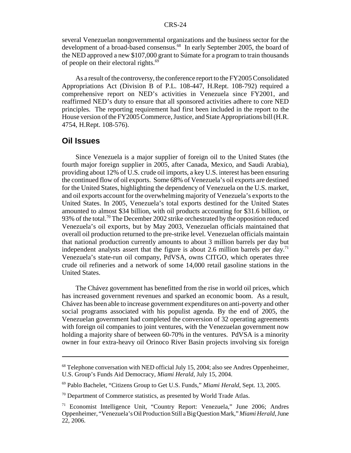several Venezuelan nongovernmental organizations and the business sector for the development of a broad-based consensus.<sup>68</sup> In early September 2005, the board of the NED approved a new \$107,000 grant to Súmate for a program to train thousands of people on their electoral rights.<sup>69</sup>

As a result of the controversy, the conference report to the FY2005 Consolidated Appropriations Act (Division B of P.L. 108-447, H.Rept. 108-792) required a comprehensive report on NED's activities in Venezuela since FY2001, and reaffirmed NED's duty to ensure that all sponsored activities adhere to core NED principles. The reporting requirement had first been included in the report to the House version of the FY2005 Commerce, Justice, and State Appropriations bill (H.R. 4754, H.Rept. 108-576).

### **Oil Issues**

Since Venezuela is a major supplier of foreign oil to the United States (the fourth major foreign supplier in 2005, after Canada, Mexico, and Saudi Arabia), providing about 12% of U.S. crude oil imports, a key U.S. interest has been ensuring the continued flow of oil exports. Some 68% of Venezuela's oil exports are destined for the United States, highlighting the dependency of Venezuela on the U.S. market, and oil exports account for the overwhelming majority of Venezuela's exports to the United States. In 2005, Venezuela's total exports destined for the United States amounted to almost \$34 billion, with oil products accounting for \$31.6 billion, or 93% of the total.<sup>70</sup> The December 2002 strike orchestrated by the opposition reduced Venezuela's oil exports, but by May 2003, Venezuelan officials maintained that overall oil production returned to the pre-strike level. Venezuelan officials maintain that national production currently amounts to about 3 million barrels per day but independent analysts assert that the figure is about 2.6 million barrels per day.<sup>71</sup> Venezuela's state-run oil company, PdVSA, owns CITGO, which operates three crude oil refineries and a network of some 14,000 retail gasoline stations in the United States.

The Chávez government has benefitted from the rise in world oil prices, which has increased government revenues and sparked an economic boom. As a result, Chávez has been able to increase government expenditures on anti-poverty and other social programs associated with his populist agenda. By the end of 2005, the Venezuelan government had completed the conversion of 32 operating agreements with foreign oil companies to joint ventures, with the Venezuelan government now holding a majority share of between 60-70% in the ventures. PdVSA is a minority owner in four extra-heavy oil Orinoco River Basin projects involving six foreign

 $68$  Telephone conversation with NED official July 15, 2004; also see Andres Oppenheimer, U.S. Group's Funds Aid Democracy, *Miami Herald*, July 15, 2004.

<sup>69</sup> Pablo Bachelet, "Citizens Group to Get U.S. Funds," *Miami Herald*, Sept. 13, 2005.

<sup>&</sup>lt;sup>70</sup> Department of Commerce statistics, as presented by World Trade Atlas.

<sup>71</sup> Economist Intelligence Unit, "Country Report: Venezuela," June 2006; Andres Oppenheimer, "Venezuela's Oil Production Still a Big Question Mark," *Miami Herald*, June 22, 2006.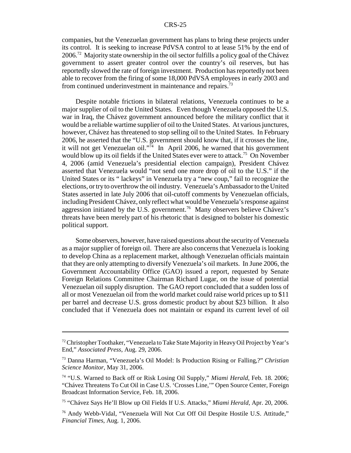companies, but the Venezuelan government has plans to bring these projects under its control. It is seeking to increase PdVSA control to at lease 51% by the end of  $2006<sup>72</sup>$  Majority state ownership in the oil sector fulfills a policy goal of the Chávez government to assert greater control over the country's oil reserves, but has reportedly slowed the rate of foreign investment. Production has reportedly not been able to recover from the firing of some 18,000 PdVSA employees in early 2003 and from continued underinvestment in maintenance and repairs.<sup>73</sup>

Despite notable frictions in bilateral relations, Venezuela continues to be a major supplier of oil to the United States. Even though Venezuela opposed the U.S. war in Iraq, the Chávez government announced before the military conflict that it would be a reliable wartime supplier of oil to the United States. At various junctures, however, Chávez has threatened to stop selling oil to the United States. In February 2006, he asserted that the "U.S. government should know that, if it crosses the line, it will not get Venezuelan oil."<sup>74</sup> In April 2006, he warned that his government would blow up its oil fields if the United States ever were to attack.<sup>75</sup> On November 4, 2006 (amid Venezuela's presidential election campaign), President Chávez asserted that Venezuela would "not send one more drop of oil to the U.S." if the United States or its " lackeys" in Venezuela try a "new coup," fail to recognize the elections, or try to overthrow the oil industry. Venezuela's Ambassador to the United States asserted in late July 2006 that oil-cutoff comments by Venezuelan officials, including President Chávez, only reflect what would be Venezuela's response against aggression initiated by the U.S. government.<sup>76</sup> Many observers believe Chávez's threats have been merely part of his rhetoric that is designed to bolster his domestic political support.

Some observers, however, have raised questions about the security of Venezuela as a major supplier of foreign oil. There are also concerns that Venezuela is looking to develop China as a replacement market, although Venezuelan officials maintain that they are only attempting to diversify Venezuela's oil markets. In June 2006, the Government Accountability Office (GAO) issued a report, requested by Senate Foreign Relations Committee Chairman Richard Lugar, on the issue of potential Venezuelan oil supply disruption. The GAO report concluded that a sudden loss of all or most Venezuelan oil from the world market could raise world prices up to \$11 per barrel and decrease U.S. gross domestic product by about \$23 billion. It also concluded that if Venezuela does not maintain or expand its current level of oil

 $72$  Christopher Toothaker, "Venezuela to Take State Majority in Heavy Oil Project by Year's End," *Associated Press*, Aug. 29, 2006.

<sup>73</sup> Danna Harman, "Venezuela's Oil Model: Is Production Rising or Falling,?" *Christian Science Monitor*, May 31, 2006.

<sup>74 &</sup>quot;U.S. Warned to Back off or Risk Losing Oil Supply," *Miami Herald*, Feb. 18. 2006; "Chávez Threatens To Cut Oil in Case U.S. 'Crosses Line,'" Open Source Center, Foreign Broadcast Information Service, Feb. 18, 2006.

<sup>75 &</sup>quot;Chávez Says He'll Blow up Oil Fields If U.S. Attacks," *Miami Herald,* Apr. 20, 2006.

<sup>76</sup> Andy Webb-Vidal, "Venezuela Will Not Cut Off Oil Despite Hostile U.S. Attitude," *Financial Times*, Aug. 1, 2006.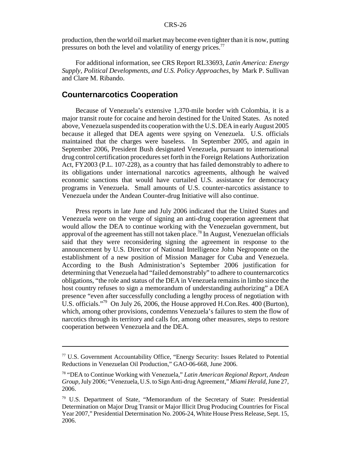production, then the world oil market may become even tighter than it is now, putting pressures on both the level and volatility of energy prices.<sup>77</sup>

For additional information, see CRS Report RL33693, *Latin America: Energy Supply, Political Developments, and U.S. Policy Approaches*, by Mark P. Sullivan and Clare M. Ribando.

# **Counternarcotics Cooperation**

Because of Venezuela's extensive 1,370-mile border with Colombia, it is a major transit route for cocaine and heroin destined for the United States. As noted above, Venezuela suspended its cooperation with the U.S. DEA in early August 2005 because it alleged that DEA agents were spying on Venezuela. U.S. officials maintained that the charges were baseless. In September 2005, and again in September 2006, President Bush designated Venezuela, pursuant to international drug control certification procedures set forth in the Foreign Relations Authorization Act, FY2003 (P.L. 107-228), as a country that has failed demonstrably to adhere to its obligations under international narcotics agreements, although he waived economic sanctions that would have curtailed U.S. assistance for democracy programs in Venezuela. Small amounts of U.S. counter-narcotics assistance to Venezuela under the Andean Counter-drug Initiative will also continue.

Press reports in late June and July 2006 indicated that the United States and Venezuela were on the verge of signing an anti-drug cooperation agreement that would allow the DEA to continue working with the Venezuelan government, but approval of the agreement has still not taken place.<sup>78</sup> In August, Venezuelan officials said that they were reconsidering signing the agreement in response to the announcement by U.S. Director of National Intelligence John Negroponte on the establishment of a new position of Mission Manager for Cuba and Venezuela. According to the Bush Administration's September 2006 justification for determining that Venezuela had "failed demonstrably" to adhere to counternarcotics obligations, "the role and status of the DEA in Venezuela remains in limbo since the host country refuses to sign a memorandum of understanding authorizing" a DEA presence "even after successfully concluding a lengthy process of negotiation with U.S. officials."<sup>79</sup> On July 26, 2006, the House approved H.Con.Res. 400 (Burton), which, among other provisions, condemns Venezuela's failures to stem the flow of narcotics through its territory and calls for, among other measures, steps to restore cooperation between Venezuela and the DEA.

<sup>77</sup> U.S. Government Accountability Office, "Energy Security: Issues Related to Potential Reductions in Venezuelan Oil Production," GAO-06-668, June 2006.

<sup>78 &</sup>quot;DEA to Continue Working with Venezuela," *Latin American Regional Report, Andean Group*, July 2006; "Venezuela, U.S. to Sign Anti-drug Agreement," *Miami Herald*, June 27, 2006.

<sup>79</sup> U.S. Department of State, "Memorandum of the Secretary of State: Presidential Determination on Major Drug Transit or Major Illicit Drug Producing Countries for Fiscal Year 2007," Presidential Determination No. 2006-24, White House Press Release, Sept. 15, 2006.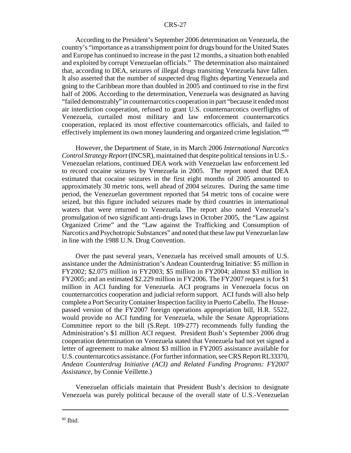According to the President's September 2006 determination on Venezuela, the country's "importance as a transshipment point for drugs bound for the United States and Europe has continued to increase in the past 12 months, a situation both enabled and exploited by corrupt Venezuelan officials." The determination also maintained that, according to DEA, seizures of illegal drugs transiting Venezuela have fallen. It also asserted that the number of suspected drug flights departing Venezuela and going to the Caribbean more than doubled in 2005 and continued to rise in the first half of 2006. According to the determination, Venezuela was designated as having "failed demonstrably" in counternarcotics cooperation in part "because it ended most air interdiction cooperation, refused to grant U.S. counternarcotics overflights of Venezuela, curtailed most military and law enforcement counternarcotics cooperation, replaced its most effective counternarcotics officials, and failed to effectively implement its own money laundering and organized crime legislation."<sup>80</sup>

However, the Department of State, in its March 2006 *International Narcotics Control Strategy Report* (INCSR), maintained that despite political tensions in U.S.- Venezuelan relations, continued DEA work with Venezuelan law enforcement led to record cocaine seizures by Venezuela in 2005. The report noted that DEA estimated that cocaine seizures in the first eight months of 2005 amounted to approximately 30 metric tons, well ahead of 2004 seizures. During the same time period, the Venezuelan government reported that 54 metric tons of cocaine were seized, but this figure included seizures made by third countries in international waters that were returned to Venezuela. The report also noted Venezuela's promulgation of two significant anti-drugs laws in October 2005, the "Law against Organized Crime" and the "Law against the Trafficking and Consumption of Narcotics and Psychotropic Substances" and noted that these law put Venezuelan law in line with the 1988 U.N. Drug Convention.

Over the past several years, Venezuela has received small amounts of U.S. assistance under the Administration's Andean Counterdrug Initiative: \$5 million in FY2002; \$2.075 million in FY2003; \$5 million in FY2004; almost \$3 million in FY2005; and an estimated \$2.229 million in FY2006. The FY2007 request is for \$1 million in ACI funding for Venezuela. ACI programs in Venezuela focus on counternarcotics cooperation and judicial reform support. ACI funds will also help complete a Port Security Container Inspection facility in Puerto Cabello. The Housepassed version of the FY2007 foreign operations appropriation bill, H.R. 5522, would provide no ACI funding for Venezuela, while the Senate Appropriations Committee report to the bill (S.Rept. 109-277) recommends fully funding the Administration's \$1 million ACI request. President Bush's September 2006 drug cooperation determination on Venezuela stated that Venezuela had not yet signed a letter of agreement to make almost \$3 million in FY2005 assistance available for U.S. counternarcotics assistance. (For further information, see CRS Report RL33370, *Andean Counterdrug Initiative (ACI) and Related Funding Programs: FY2007 Assistance*, by Connie Veillette.)

Venezuelan officials maintain that President Bush's decision to designate Venezuela was purely political because of the overall state of U.S.-Venezuelan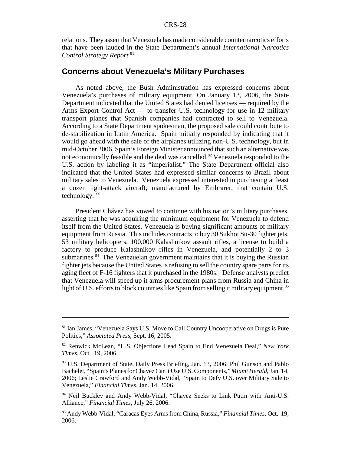relations. They assert that Venezuela has made considerable counternarcotics efforts that have been lauded in the State Department's annual *International Narcotics Control Strategy Report.*<sup>81</sup>

# **Concerns about Venezuela's Military Purchases**

As noted above, the Bush Administration has expressed concerns about Venezuela's purchases of military equipment. On January 13, 2006, the State Department indicated that the United States had denied licenses — required by the Arms Export Control Act — to transfer U.S. technology for use in 12 military transport planes that Spanish companies had contracted to sell to Venezuela. According to a State Department spokesman, the proposed sale could contribute to de-stabilization in Latin America. Spain initially responded by indicating that it would go ahead with the sale of the airplanes utilizing non-U.S. technology, but in mid-October 2006, Spain's Foreign Minister announced that such an alternative was not economically feasible and the deal was cancelled.<sup>82</sup> Venezuela responded to the U.S. action by labeling it as "imperialist." The State Department official also indicated that the United States had expressed similar concerns to Brazil about military sales to Venezuela. Venezuela expressed interested in purchasing at least a dozen light-attack aircraft, manufactured by Embrarer, that contain U.S. technology. 83

President Chávez has vowed to continue with his nation's military purchases, asserting that he was acquiring the minimum equipment for Venezuela to defend itself from the United States. Venezuela is buying significant amounts of military equipment from Russia. This includes contracts to buy 30 Sukhoi Su-30 fighter jets, 53 military helicopters, 100,000 Kalashnikov assault rifles, a license to build a factory to produce Kalashnikov rifles in Venezuela, and potentially 2 to 3 submarines.<sup>84</sup> The Venezuelan government maintains that it is buying the Russian fighter jets because the United States is refusing to sell the country spare parts for its aging fleet of F-16 fighters that it purchased in the 1980s. Defense analysts predict that Venezuela will speed up it arms procurement plans from Russia and China in light of U.S. efforts to block countries like Spain from selling it military equipment.<sup>85</sup>

<sup>&</sup>lt;sup>81</sup> Ian James, "Venezuela Says U.S. Move to Call Country Uncooperative on Drugs is Pure Politics," *Associated Press*, Sept. 16, 2005.

<sup>82</sup> Renwick McLean, "U.S. Objections Lead Spain to End Venezuela Deal," *New York Times*, Oct. 19, 2006.

<sup>83</sup> U.S. Department of State, Daily Press Briefing, Jan. 13, 2006; Phil Gunson and Pablo Bachelet, "Spain's Planes for Chávez Can't Use U.S. Components," *Miami Herald*, Jan. 14, 2006; Leslie Crawford and Andy Webb-Vidal, "Spain to Defy U.S. over Military Sale to Venezuela," *Financial Times*, Jan. 14, 2006.

<sup>&</sup>lt;sup>84</sup> Neil Buckley and Andy Webb-Vidal, "Chavez Seeks to Link Putin with Anti-U.S. Alliance," *Financial Times*, July 26, 2006.

<sup>85</sup> Andy Webb-Vidal, "Caracas Eyes Arms from China, Russia," *Financial Times*, Oct. 19, 2006.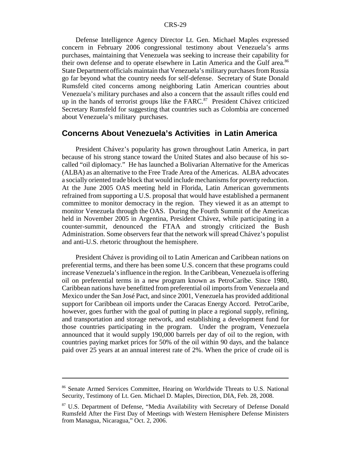Defense Intelligence Agency Director Lt. Gen. Michael Maples expressed concern in February 2006 congressional testimony about Venezuela's arms purchases, maintaining that Venezuela was seeking to increase their capability for their own defense and to operate elsewhere in Latin America and the Gulf area.<sup>86</sup> State Department officials maintain that Venezuela's military purchases from Russia go far beyond what the country needs for self-defense. Secretary of State Donald Rumsfeld cited concerns among neighboring Latin American countries about Venezuela's military purchases and also a concern that the assault rifles could end up in the hands of terrorist groups like the  $FARC<sup>87</sup>$  President Chávez criticized Secretary Rumsfeld for suggesting that countries such as Colombia are concerned about Venezuela's military purchases.

### **Concerns About Venezuela's Activities in Latin America**

President Chávez's popularity has grown throughout Latin America, in part because of his strong stance toward the United States and also because of his socalled "oil diplomacy." He has launched a Bolivarian Alternative for the Americas (ALBA) as an alternative to the Free Trade Area of the Americas. ALBA advocates a socially oriented trade block that would include mechanisms for poverty reduction. At the June 2005 OAS meeting held in Florida, Latin American governments refrained from supporting a U.S. proposal that would have established a permanent committee to monitor democracy in the region. They viewed it as an attempt to monitor Venezuela through the OAS. During the Fourth Summit of the Americas held in November 2005 in Argentina, President Chávez, while participating in a counter-summit, denounced the FTAA and strongly criticized the Bush Administration. Some observers fear that the network will spread Chávez's populist and anti-U.S. rhetoric throughout the hemisphere.

President Chávez is providing oil to Latin American and Caribbean nations on preferential terms, and there has been some U.S. concern that these programs could increase Venezuela's influence in the region. In the Caribbean, Venezuela is offering oil on preferential terms in a new program known as PetroCaribe. Since 1980, Caribbean nations have benefitted from preferential oil imports from Venezuela and Mexico under the San José Pact, and since 2001, Venezuela has provided additional support for Caribbean oil imports under the Caracas Energy Accord. PetroCaribe, however, goes further with the goal of putting in place a regional supply, refining, and transportation and storage network, and establishing a development fund for those countries participating in the program. Under the program, Venezuela announced that it would supply 190,000 barrels per day of oil to the region, with countries paying market prices for 50% of the oil within 90 days, and the balance paid over 25 years at an annual interest rate of 2%. When the price of crude oil is

<sup>86</sup> Senate Armed Services Committee, Hearing on Worldwide Threats to U.S. National Security, Testimony of Lt. Gen. Michael D. Maples, Direction, DIA, Feb. 28, 2008.

<sup>87</sup> U.S. Department of Defense, "Media Availability with Secretary of Defense Donald Rumsfeld After the First Day of Meetings with Western Hemisphere Defense Ministers from Managua, Nicaragua," Oct. 2, 2006.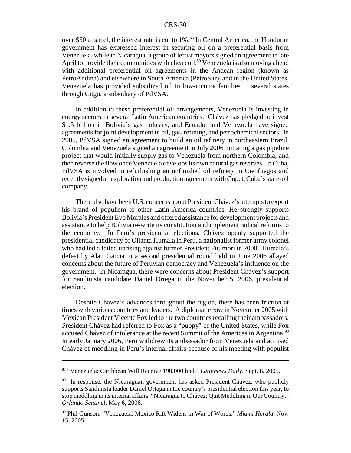over \$50 a barrel, the interest rate is cut to 1%.<sup>88</sup> In Central America, the Honduran government has expressed interest in securing oil on a preferential basis from Venezuela, while in Nicaragua, a group of leftist mayors signed an agreement in late April to provide their communities with cheap oil.<sup>89</sup> Venezuela is also moving ahead with additional preferential oil agreements in the Andean region (known as PetroAndina) and elsewhere in South America (PetroSur), and in the United States, Venezuela has provided subsidized oil to low-income families in several states through Citgo, a subsidiary of PdVSA.

In addition to these preferential oil arrangements, Venezuela is investing in energy sectors in several Latin American countries. Chávez has pledged to invest \$1.5 billion in Bolivia's gas industry, and Ecuador and Venezuela have signed agreements for joint development in oil, gas, refining, and petrochemical sectors. In 2005, PdVSA signed an agreement to build an oil refinery in northeastern Brazil. Colombia and Venezuela signed an agreement in July 2006 initiating a gas pipeline project that would initially supply gas to Venezuela from northern Colombia, and then reverse the flow once Venezuela develops its own natural gas reserves. In Cuba, PdVSA is involved in refurbishing an unfinished oil refinery in Cienfuegos and recently signed an exploration and production agreement with Cupet, Cuba's state-oil company.

There also have been U.S. concerns about President Chávez's attempts to export his brand of populism to other Latin America countries. He strongly supports Bolivia's President Evo Morales and offered assistance for development projects and assistance to help Bolivia re-write its constitution and implement radical reforms to the economy. In Peru's presidential elections, Chávez openly supported the presidential candidacy of Ollanta Humala in Peru, a nationalist former army colonel who had led a failed uprising against former President Fujimori in 2000. Humala's defeat by Alan Garcia in a second presidential round held in June 2006 allayed concerns about the future of Peruvian democracy and Venezuela's influence on the government. In Nicaragua, there were concerns about President Chávez's support for Sandinista candidate Daniel Ortega in the November 5, 2006, presidential election.

Despite Chávez's advances throughout the region, there has been friction at times with various countries and leaders. A diplomatic row in November 2005 with Mexican President Vicente Fox led to the two countries recalling their ambassadors. President Chávez had referred to Fox as a "puppy" of the United States, while Fox accused Chávez of intolerance at the recent Summit of the Americas in Argentina.<sup>90</sup> In early January 2006, Peru withdrew its ambassador from Venezuela and accused Chávez of meddling in Peru's internal affairs because of his meeting with populist

<sup>88 &</sup>quot;Venezuela: Caribbean Will Receive 190,000 bpd," *Latinnews Daily*, Sept. 8, 2005.

<sup>89</sup> In response, the Nicaraguan government has asked President Chávez, who publicly supports Sandinista leader Daniel Ortega in the country's presidential election this year, to stop meddling in its internal affairs. "Nicaragua to Chávez: Quit Meddling in Our Country," *Orlando Sentinel*, May 6, 2006.

<sup>90</sup> Phil Gunson, "Venezuela, Mexico Rift Widens in War of Words," *Miami Herald*, Nov. 15, 2005.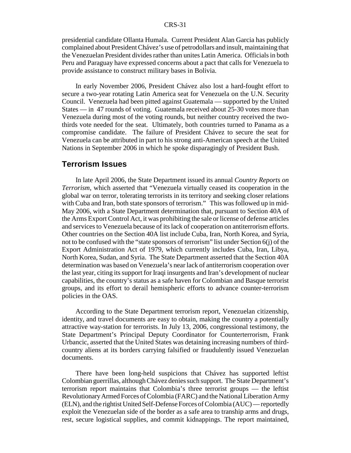presidential candidate Ollanta Humala. Current President Alan Garcia has publicly complained about President Chávez's use of petrodollars and insult, maintaining that the Venezuelan President divides rather than unites Latin America. Officials in both Peru and Paraguay have expressed concerns about a pact that calls for Venezuela to provide assistance to construct military bases in Bolivia.

In early November 2006, President Chávez also lost a hard-fought effort to secure a two-year rotating Latin America seat for Venezuela on the U.N. Security Council. Venezuela had been pitted against Guatemala — supported by the United States — in 47 rounds of voting. Guatemala received about 25-30 votes more than Venezuela during most of the voting rounds, but neither country received the twothirds vote needed for the seat. Ultimately, both countries turned to Panama as a compromise candidate. The failure of President Chávez to secure the seat for Venezuela can be attributed in part to his strong anti-American speech at the United Nations in September 2006 in which he spoke disparagingly of President Bush.

## **Terrorism Issues**

In late April 2006, the State Department issued its annual *Country Reports on Terrorism*, which asserted that "Venezuela virtually ceased its cooperation in the global war on terror, tolerating terrorists in its territory and seeking closer relations with Cuba and Iran, both state sponsors of terrorism." This was followed up in mid-May 2006, with a State Department determination that, pursuant to Section 40A of the Arms Export Control Act, it was prohibiting the sale or license of defense articles and services to Venezuela because of its lack of cooperation on antiterrorism efforts. Other countries on the Section 40A list include Cuba, Iran, North Korea, and Syria, not to be confused with the "state sponsors of terrorism" list under Section 6(j) of the Export Administration Act of 1979, which currently includes Cuba, Iran, Libya, North Korea, Sudan, and Syria. The State Department asserted that the Section 40A determination was based on Venezuela's near lack of antiterrorism cooperation over the last year, citing its support for Iraqi insurgents and Iran's development of nuclear capabilities, the country's status as a safe haven for Colombian and Basque terrorist groups, and its effort to derail hemispheric efforts to advance counter-terrorism policies in the OAS.

According to the State Department terrorism report, Venezuelan citizenship, identity, and travel documents are easy to obtain, making the country a potentially attractive way-station for terrorists. In July 13, 2006, congressional testimony, the State Department's Principal Deputy Coordinator for Counterterrorism, Frank Urbancic, asserted that the United States was detaining increasing numbers of thirdcountry aliens at its borders carrying falsified or fraudulently issued Venezuelan documents.

There have been long-held suspicions that Chávez has supported leftist Colombian guerrillas, although Chávez denies such support. The State Department's terrorism report maintains that Colombia's three terrorist groups — the leftist Revolutionary Armed Forces of Colombia (FARC) and the National Liberation Army (ELN), and the rightist United Self-Defense Forces of Colombia (AUC) — reportedly exploit the Venezuelan side of the border as a safe area to tranship arms and drugs, rest, secure logistical supplies, and commit kidnappings. The report maintained,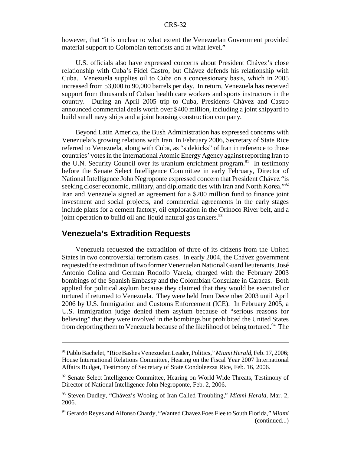however, that "it is unclear to what extent the Venezuelan Government provided material support to Colombian terrorists and at what level."

U.S. officials also have expressed concerns about President Chávez's close relationship with Cuba's Fidel Castro, but Chávez defends his relationship with Cuba. Venezuela supplies oil to Cuba on a concessionary basis, which in 2005 increased from 53,000 to 90,000 barrels per day. In return, Venezuela has received support from thousands of Cuban health care workers and sports instructors in the country. During an April 2005 trip to Cuba, Presidents Chávez and Castro announced commercial deals worth over \$400 million, including a joint shipyard to build small navy ships and a joint housing construction company.

Beyond Latin America, the Bush Administration has expressed concerns with Venezuela's growing relations with Iran. In February 2006, Secretary of State Rice referred to Venezuela, along with Cuba, as "sidekicks" of Iran in reference to those countries' votes in the International Atomic Energy Agency against reporting Iran to the U.N. Security Council over its uranium enrichment program.<sup>91</sup> In testimony before the Senate Select Intelligence Committee in early February, Director of National Intelligence John Negroponte expressed concern that President Chávez "is seeking closer economic, military, and diplomatic ties with Iran and North Korea."<sup>92</sup> Iran and Venezuela signed an agreement for a \$200 million fund to finance joint investment and social projects, and commercial agreements in the early stages include plans for a cement factory, oil exploration in the Orinoco River belt, and a joint operation to build oil and liquid natural gas tankers. $93$ 

# **Venezuela's Extradition Requests**

Venezuela requested the extradition of three of its citizens from the United States in two controversial terrorism cases. In early 2004, the Chávez government requested the extradition of two former Venezuelan National Guard lieutenants, José Antonio Colina and German Rodolfo Varela, charged with the February 2003 bombings of the Spanish Embassy and the Colombian Consulate in Caracas. Both applied for political asylum because they claimed that they would be executed or tortured if returned to Venezuela. They were held from December 2003 until April 2006 by U.S. Immigration and Customs Enforcement (ICE). In February 2005, a U.S. immigration judge denied them asylum because of "serious reasons for believing" that they were involved in the bombings but prohibited the United States from deporting them to Venezuela because of the likelihood of being tortured.<sup>94</sup> The

<sup>91</sup> Pablo Bachelet, "Rice Bashes Venezuelan Leader, Politics," *Miami Herald*, Feb. 17, 2006; House International Relations Committee, Hearing on the Fiscal Year 2007 International Affairs Budget, Testimony of Secretary of State Condoleezza Rice, Feb. 16, 2006.

 $92$  Senate Select Intelligence Committee, Hearing on World Wide Threats, Testimony of Director of National Intelligence John Negroponte, Feb. 2, 2006.

<sup>93</sup> Steven Dudley, "Chávez's Wooing of Iran Called Troubling," *Miami Herald*, Mar. 2, 2006.

<sup>94</sup> Gerardo Reyes and Alfonso Chardy, "Wanted Chavez Foes Flee to South Florida," *Miami* (continued...)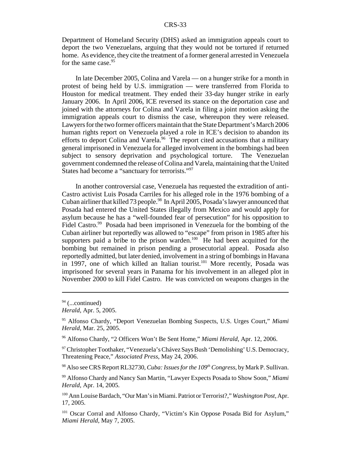Department of Homeland Security (DHS) asked an immigration appeals court to deport the two Venezuelans, arguing that they would not be tortured if returned home. As evidence, they cite the treatment of a former general arrested in Venezuela for the same case.<sup>95</sup>

In late December 2005, Colina and Varela — on a hunger strike for a month in protest of being held by U.S. immigration — were transferred from Florida to Houston for medical treatment. They ended their 33-day hunger strike in early January 2006. In April 2006, ICE reversed its stance on the deportation case and joined with the attorneys for Colina and Varela in filing a joint motion asking the immigration appeals court to dismiss the case, whereupon they were released. Lawyers for the two former officers maintain that the State Department's March 2006 human rights report on Venezuela played a role in ICE's decision to abandon its efforts to deport Colina and Varela.<sup>96</sup> The report cited accusations that a military general imprisoned in Venezuela for alleged involvement in the bombings had been subject to sensory deprivation and psychological torture. The Venezuelan government condemned the release of Colina and Varela, maintaining that the United States had become a "sanctuary for terrorists."97

In another controversial case, Venezuela has requested the extradition of anti-Castro activist Luis Posada Carriles for his alleged role in the 1976 bombing of a Cuban airliner that killed 73 people.<sup>98</sup> In April 2005, Posada's lawyer announced that Posada had entered the United States illegally from Mexico and would apply for asylum because he has a "well-founded fear of persecution" for his opposition to Fidel Castro.<sup>99</sup> Posada had been imprisoned in Venezuela for the bombing of the Cuban airliner but reportedly was allowed to "escape" from prison in 1985 after his supporters paid a bribe to the prison warden. $100$  He had been acquitted for the bombing but remained in prison pending a prosecutorial appeal. Posada also reportedly admitted, but later denied, involvement in a string of bombings in Havana in 1997, one of which killed an Italian tourist.<sup>101</sup> More recently, Posada was imprisoned for several years in Panama for his involvement in an alleged plot in November 2000 to kill Fidel Castro. He was convicted on weapons charges in the

96 Alfonso Chardy, "2 Officers Won't Be Sent Home," *Miami Herald*, Apr. 12, 2006.

<sup>97</sup> Christopher Toothaker, "Venezuela's Chávez Says Bush 'Demolishing' U.S. Democracy, Threatening Peace," *Associated Press*, May 24, 2006.

<sup>98</sup> Also see CRS Report RL32730, *Cuba: Issues for the 109<sup>th</sup> Congress*, by Mark P. Sullivan.

99 Alfonso Chardy and Nancy San Martin, "Lawyer Expects Posada to Show Soon," *Miami Herald*, Apr. 14, 2005.

100 Ann Louise Bardach, "Our Man's in Miami. Patriot or Terrorist?," *Washington Post*, Apr. 17, 2005.

<sup>101</sup> Oscar Corral and Alfonso Chardy, "Victim's Kin Oppose Posada Bid for Asylum," *Miami Herald*, May 7, 2005.

 $94$  (...continued)

*Herald*, Apr. 5, 2005.

<sup>95</sup> Alfonso Chardy, "Deport Venezuelan Bombing Suspects, U.S. Urges Court," *Miami Herald*, Mar. 25, 2005.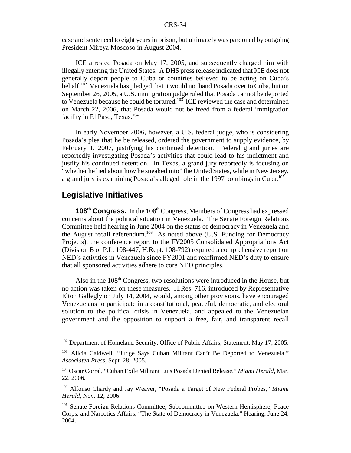case and sentenced to eight years in prison, but ultimately was pardoned by outgoing President Mireya Moscoso in August 2004.

ICE arrested Posada on May 17, 2005, and subsequently charged him with illegally entering the United States. A DHS press release indicated that ICE does not generally deport people to Cuba or countries believed to be acting on Cuba's behalf.102 Venezuela has pledged that it would not hand Posada over to Cuba, but on September 26, 2005, a U.S. immigration judge ruled that Posada cannot be deported to Venezuela because he could be tortured.<sup>103</sup> ICE reviewed the case and determined on March 22, 2006, that Posada would not be freed from a federal immigration facility in El Paso, Texas.<sup>104</sup>

In early November 2006, however, a U.S. federal judge, who is considering Posada's plea that he be released, ordered the government to supply evidence, by February 1, 2007, justifying his continued detention. Federal grand juries are reportedly investigating Posada's activities that could lead to his indictment and justify his continued detention. In Texas, a grand jury reportedly is focusing on "whether he lied about how he sneaked into" the United States, while in New Jersey, a grand jury is examining Posada's alleged role in the 1997 bombings in Cuba.<sup>105</sup>

## **Legislative Initiatives**

**108th Congress.** In the 108th Congress, Members of Congress had expressed concerns about the political situation in Venezuela. The Senate Foreign Relations Committee held hearing in June 2004 on the status of democracy in Venezuela and the August recall referendum.<sup>106</sup> As noted above (U.S. Funding for Democracy Projects), the conference report to the FY2005 Consolidated Appropriations Act (Division B of P.L. 108-447, H.Rept. 108-792) required a comprehensive report on NED's activities in Venezuela since FY2001 and reaffirmed NED's duty to ensure that all sponsored activities adhere to core NED principles.

Also in the  $108<sup>th</sup>$  Congress, two resolutions were introduced in the House, but no action was taken on these measures. H.Res. 716, introduced by Representative Elton Gallegly on July 14, 2004, would, among other provisions, have encouraged Venezuelans to participate in a constitutional, peaceful, democratic, and electoral solution to the political crisis in Venezuela, and appealed to the Venezuelan government and the opposition to support a free, fair, and transparent recall

<sup>&</sup>lt;sup>102</sup> Department of Homeland Security, Office of Public Affairs, Statement, May 17, 2005.

<sup>&</sup>lt;sup>103</sup> Alicia Caldwell, "Judge Says Cuban Militant Can't Be Deported to Venezuela," *Associated Press*, Sept. 28, 2005.

<sup>104</sup> Oscar Corral, "Cuban Exile Militant Luis Posada Denied Release," *Miami Herald*, Mar. 22, 2006.

<sup>105</sup> Alfonso Chardy and Jay Weaver, "Posada a Target of New Federal Probes," *Miami Herald*, Nov. 12, 2006.

<sup>106</sup> Senate Foreign Relations Committee, Subcommittee on Western Hemisphere, Peace Corps, and Narcotics Affairs, "The State of Democracy in Venezuela," Hearing, June 24, 2004.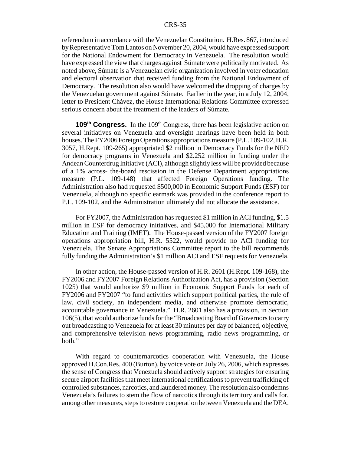referendum in accordance with the Venezuelan Constitution. H.Res. 867, introduced by Representative Tom Lantos on November 20, 2004, would have expressed support for the National Endowment for Democracy in Venezuela. The resolution would have expressed the view that charges against Súmate were politically motivated. As noted above, Súmate is a Venezuelan civic organization involved in voter education and electoral observation that received funding from the National Endowment of Democracy. The resolution also would have welcomed the dropping of charges by the Venezuelan government against Súmate. Earlier in the year, in a July 12, 2004, letter to President Chávez, the House International Relations Committee expressed serious concern about the treatment of the leaders of Súmate.

**109<sup>th</sup> Congress.** In the 109<sup>th</sup> Congress, there has been legislative action on several initiatives on Venezuela and oversight hearings have been held in both houses. The FY2006 Foreign Operations appropriations measure (P.L. 109-102, H.R. 3057, H.Rept. 109-265) appropriated \$2 million in Democracy Funds for the NED for democracy programs in Venezuela and \$2.252 million in funding under the Andean Counterdrug Initiative (ACI), although slightly less will be provided because of a 1% across- the-board rescission in the Defense Department appropriations measure (P.L. 109-148) that affected Foreign Operations funding. The Administration also had requested \$500,000 in Economic Support Funds (ESF) for Venezuela, although no specific earmark was provided in the conference report to P.L. 109-102, and the Administration ultimately did not allocate the assistance.

For FY2007, the Administration has requested \$1 million in ACI funding, \$1.5 million in ESF for democracy initiatives, and \$45,000 for International Military Education and Training (IMET). The House-passed version of the FY2007 foreign operations appropriation bill, H.R. 5522, would provide no ACI funding for Venezuela. The Senate Appropriations Committee report to the bill recommends fully funding the Administration's \$1 million ACI and ESF requests for Venezuela.

In other action, the House-passed version of H.R. 2601 (H.Rept. 109-168), the FY2006 and FY2007 Foreign Relations Authorization Act, has a provision (Section 1025) that would authorize \$9 million in Economic Support Funds for each of FY2006 and FY2007 "to fund activities which support political parties, the rule of law, civil society, an independent media, and otherwise promote democratic, accountable governance in Venezuela." H.R. 2601 also has a provision, in Section 106(5), that would authorize funds for the "Broadcasting Board of Governors to carry out broadcasting to Venezuela for at least 30 minutes per day of balanced, objective, and comprehensive television news programming, radio news programming, or both."

With regard to counternarcotics cooperation with Venezuela, the House approved H.Con.Res. 400 (Burton), by voice vote on July 26, 2006, which expresses the sense of Congress that Venezuela should actively support strategies for ensuring secure airport facilities that meet international certifications to prevent trafficking of controlled substances, narcotics, and laundered money. The resolution also condemns Venezuela's failures to stem the flow of narcotics through its territory and calls for, among other measures, steps to restore cooperation between Venezuela and the DEA.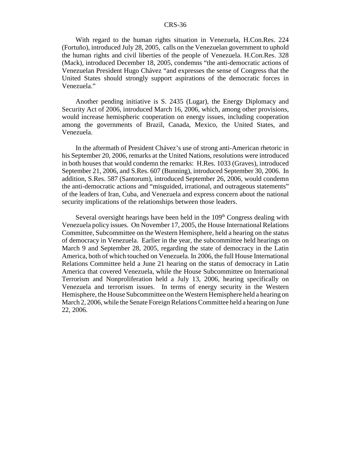With regard to the human rights situation in Venezuela, H.Con.Res. 224 (Fortuño), introduced July 28, 2005, calls on the Venezuelan government to uphold the human rights and civil liberties of the people of Venezuela. H.Con.Res. 328 (Mack), introduced December 18, 2005, condemns "the anti-democratic actions of Venezuelan President Hugo Chávez "and expresses the sense of Congress that the United States should strongly support aspirations of the democratic forces in Venezuela."

Another pending initiative is S. 2435 (Lugar), the Energy Diplomacy and Security Act of 2006, introduced March 16, 2006, which, among other provisions, would increase hemispheric cooperation on energy issues, including cooperation among the governments of Brazil, Canada, Mexico, the United States, and Venezuela.

In the aftermath of President Chávez's use of strong anti-American rhetoric in his September 20, 2006, remarks at the United Nations, resolutions were introduced in both houses that would condemn the remarks: H.Res. 1033 (Graves), introduced September 21, 2006, and S.Res. 607 (Bunning), introduced September 30, 2006. In addition, S.Res. 587 (Santorum), introduced September 26, 2006, would condemn the anti-democratic actions and "misguided, irrational, and outrageous statements" of the leaders of Iran, Cuba, and Venezuela and express concern about the national security implications of the relationships between those leaders.

Several oversight hearings have been held in the  $109<sup>th</sup>$  Congress dealing with Venezuela policy issues. On November 17, 2005, the House International Relations Committee, Subcommittee on the Western Hemisphere, held a hearing on the status of democracy in Venezuela. Earlier in the year, the subcommittee held hearings on March 9 and September 28, 2005, regarding the state of democracy in the Latin America, both of which touched on Venezuela. In 2006, the full House International Relations Committee held a June 21 hearing on the status of democracy in Latin America that covered Venezuela, while the House Subcommittee on International Terrorism and Nonproliferation held a July 13, 2006, hearing specifically on Venezuela and terrorism issues. In terms of energy security in the Western Hemisphere, the House Subcommittee on the Western Hemisphere held a hearing on March 2, 2006, while the Senate Foreign Relations Committee held a hearing on June 22, 2006.